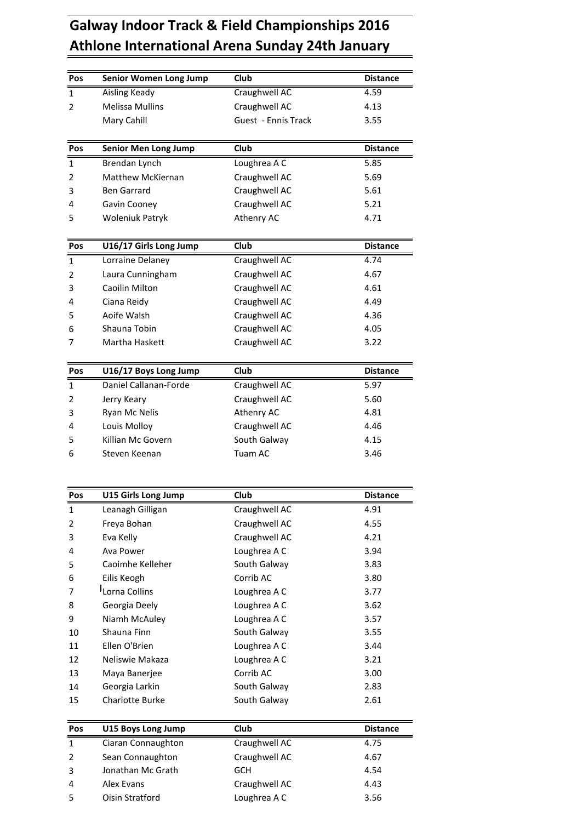## **Indoor Track & Field Championships <sup>2016</sup> International Arena Sunday 24th January Senior Women Long Jump Club**<br> **Example 2016**<br> **Senior Women Long Jump Club Club Distance** Galway Indoor Track & Field Championships 2016<br>Athlone International Arena Sunday 24th January<br>Pos Senior Women Long Jump Club Distance<br>1 Aisling Keady Craughwell AC 4.59 2

| Pos          | <b>Senior Women Long Jump</b> | Club                | <b>Distance</b> |
|--------------|-------------------------------|---------------------|-----------------|
| 1            | Aisling Keady                 | Craughwell AC       | 4.59            |
| 2            | <b>Melissa Mullins</b>        | Craughwell AC       | 4.13            |
|              | Mary Cahill                   | Guest - Ennis Track | 3.55            |
|              |                               |                     |                 |
| Pos          | <b>Senior Men Long Jump</b>   | Club                | <b>Distance</b> |
| 1            | Brendan Lynch                 | Loughrea A C        | 5.85            |
| 2            | <b>Matthew McKiernan</b>      | Craughwell AC       | 5.69            |
| 3            | <b>Ben Garrard</b>            | Craughwell AC       | 5.61            |
| 4            | Gavin Cooney                  | Craughwell AC       | 5.21            |
| 5            | <b>Woleniuk Patryk</b>        | Athenry AC          | 4.71            |
| Pos          | U16/17 Girls Long Jump        | Club                | <b>Distance</b> |
| $\mathbf{1}$ | Lorraine Delaney              | Craughwell AC       | 4.74            |
| 2            | Laura Cunningham              | Craughwell AC       | 4.67            |
| 3            | Caoilin Milton                | Craughwell AC       | 4.61            |
| 4            | Ciana Reidy                   | Craughwell AC       | 4.49            |
| 5            | Aoife Walsh                   | Craughwell AC       | 4.36            |
| 6            | Shauna Tobin                  | Craughwell AC       | 4.05            |
| 7            | Martha Haskett                | Craughwell AC       | 3.22            |
| Pos          | U16/17 Boys Long Jump         | Club                | <b>Distance</b> |
| $\mathbf{1}$ | Daniel Callanan-Forde         | Craughwell AC       | 5.97            |
| 2            | Jerry Keary                   | Craughwell AC       | 5.60            |
| 3            | Ryan Mc Nelis                 | Athenry AC          | 4.81            |
| 4            | Louis Molloy                  | Craughwell AC       | 4.46            |
| 5            | Killian Mc Govern             | South Galway        | 4.15            |
| 6            | Steven Keenan                 | Tuam AC             | 3.46            |
|              |                               |                     |                 |
| Pos          | U15 Girls Long Jump           | <b>Club</b>         | <b>Distance</b> |
| $\mathbf{1}$ | Leanagh Gilligan              | Craughwell AC       | 4.91            |
| 2            | Freya Bohan                   | Craughwell AC       | 4.55            |
| 3            | Eva Kelly                     | Craughwell AC       | 4.21            |
| 4            | Ava Power                     | Loughrea A C        | 3.94            |
| 5            | Caoimhe Kelleher              | South Galway        | 3.83            |
| 6            | Eilis Keogh                   | Corrib AC           | 3.80            |
| 7            | <sup>I</sup> Lorna Collins    | Loughrea A C        | 3.77            |
| 8            | Georgia Deely                 | Loughrea A C        | 3.62            |
| 9            | Niamh McAuley                 | Loughrea A C        | 3.57            |
| 10           | Shauna Finn                   | South Galway        | 3.55            |
| 11           | Ellen O'Brien                 | Loughrea A C        | 3.44            |
| 12           | Neliswie Makaza               | Loughrea A C        | 3.21            |
| 13           | Maya Banerjee                 | Corrib AC           | 3.00            |
| 14           | Georgia Larkin                | South Galway        | 2.83            |
| 15           | <b>Charlotte Burke</b>        | South Galway        | 2.61            |
| Pos          | U15 Boys Long Jump            | Club                | <b>Distance</b> |
| 1            | Ciaran Connaughton            | Craughwell AC       | 4.75            |
|              | Sean Connaughton              | Craughwell AC       | 4.67            |

| 15             | <b>Charlotte Burke</b> | South Galway  | 2.61            |
|----------------|------------------------|---------------|-----------------|
| Pos            | U15 Boys Long Jump     | Club          | <b>Distance</b> |
| $\mathbf{1}$   | Ciaran Connaughton     | Craughwell AC | 4.75            |
| $\overline{2}$ | Sean Connaughton       | Craughwell AC | 4.67            |
| 3              | Jonathan Mc Grath      | <b>GCH</b>    | 4.54            |
| 4              | Alex Evans             | Craughwell AC | 4.43            |
| 5              | Oisin Stratford        | Loughrea A C  | 3.56            |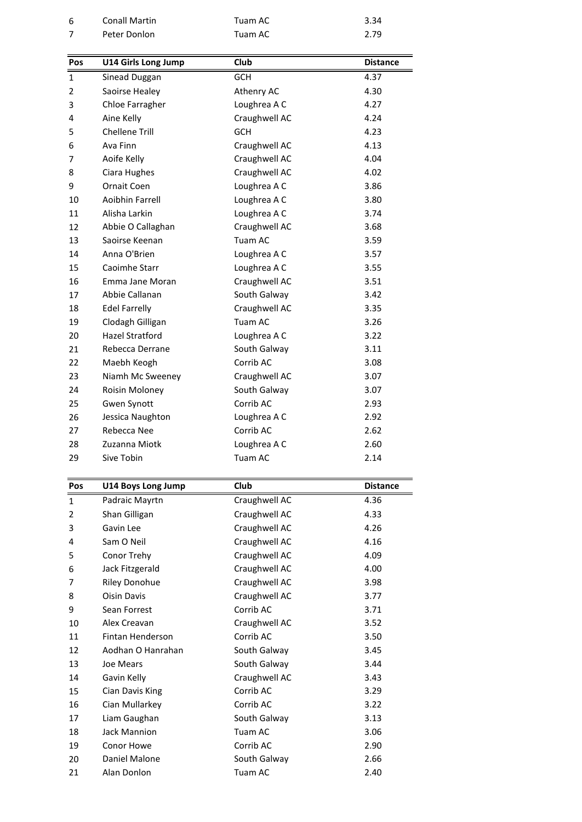| 6   | <b>Conall Martin</b>       | Tuam AC       | 3.34            |
|-----|----------------------------|---------------|-----------------|
| 7   | Peter Donlon               | Tuam AC       | 2.79            |
|     |                            |               |                 |
| Pos | <b>U14 Girls Long Jump</b> | Club          | <b>Distance</b> |
| 1   | Sinead Duggan              | <b>GCH</b>    | 4.37            |
| 2   | Saoirse Healey             | Athenry AC    | 4.30            |
| 3   | Chloe Farragher            | Loughrea A C  | 4.27            |
| 4   | Aine Kelly                 | Craughwell AC | 4.24            |
| 5   | <b>Chellene Trill</b>      | <b>GCH</b>    | 4.23            |
| 6   | Ava Finn                   | Craughwell AC | 4.13            |
| 7   | Aoife Kelly                | Craughwell AC | 4.04            |
| 8   | Ciara Hughes               | Craughwell AC | 4.02            |
| 9   | <b>Ornait Coen</b>         | Loughrea A C  | 3.86            |
| 10  | Aoibhin Farrell            | Loughrea A C  | 3.80            |
| 11  | Alisha Larkin              | Loughrea A C  | 3.74            |
| 12  | Abbie O Callaghan          | Craughwell AC | 3.68            |
| 13  | Saoirse Keenan             | Tuam AC       | 3.59            |
| 14  | Anna O'Brien               | Loughrea A C  | 3.57            |
| 15  | Caoimhe Starr              | Loughrea A C  | 3.55            |
| 16  | Emma Jane Moran            | Craughwell AC | 3.51            |
| 17  | Abbie Callanan             | South Galway  | 3.42            |
| 18  | <b>Edel Farrelly</b>       | Craughwell AC | 3.35            |
| 19  | Clodagh Gilligan           | Tuam AC       | 3.26            |
| 20  | <b>Hazel Stratford</b>     | Loughrea A C  | 3.22            |
| 21  | Rebecca Derrane            | South Galway  | 3.11            |
| 22  | Maebh Keogh                | Corrib AC     | 3.08            |
| 23  | Niamh Mc Sweeney           | Craughwell AC | 3.07            |
| 24  | Roisin Moloney             | South Galway  | 3.07            |
| 25  | Gwen Synott                | Corrib AC     | 2.93            |
| 26  | Jessica Naughton           | Loughrea A C  | 2.92            |
| 27  | Rebecca Nee                | Corrib AC     | 2.62            |
| 28  | Zuzanna Miotk              | Loughrea A C  | 2.60            |
| 29  | Sive Tobin                 | Tuam AC       | 2.14            |
|     |                            |               |                 |
| Pos | U14 Boys Long Jump         | Club          | <b>Distance</b> |
| 1   | Padraic Mavrtn             | Craughwell AC | 4.36            |

| 28           | Zuzanna Miotk        | Loughrea A C  | 2.60            |
|--------------|----------------------|---------------|-----------------|
| 29           | Sive Tobin           | Tuam AC       | 2.14            |
|              |                      |               |                 |
| Pos          | U14 Boys Long Jump   | <b>Club</b>   | <b>Distance</b> |
| $\mathbf{1}$ | Padraic Mayrtn       | Craughwell AC | 4.36            |
| 2            | Shan Gilligan        | Craughwell AC | 4.33            |
| 3            | Gavin Lee            | Craughwell AC | 4.26            |
| 4            | Sam O Neil           | Craughwell AC | 4.16            |
| 5            | Conor Trehy          | Craughwell AC | 4.09            |
| 6            | Jack Fitzgerald      | Craughwell AC | 4.00            |
| 7            | <b>Riley Donohue</b> | Craughwell AC | 3.98            |
| 8            | <b>Oisin Davis</b>   | Craughwell AC | 3.77            |
| 9            | Sean Forrest         | Corrib AC     | 3.71            |
| 10           | Alex Creavan         | Craughwell AC | 3.52            |
| 11           | Fintan Henderson     | Corrib AC     | 3.50            |
| 12           | Aodhan O Hanrahan    | South Galway  | 3.45            |
| 13           | Joe Mears            | South Galway  | 3.44            |
| 14           | Gavin Kelly          | Craughwell AC | 3.43            |
| 15           | Cian Davis King      | Corrib AC     | 3.29            |
| 16           | Cian Mullarkey       | Corrib AC     | 3.22            |
| 17           | Liam Gaughan         | South Galway  | 3.13            |
| 18           | Jack Mannion         | Tuam AC       | 3.06            |
| 19           | Conor Howe           | Corrib AC     | 2.90            |
| 20           | Daniel Malone        | South Galway  | 2.66            |
| 21           | Alan Donlon          | Tuam AC       | 2.40            |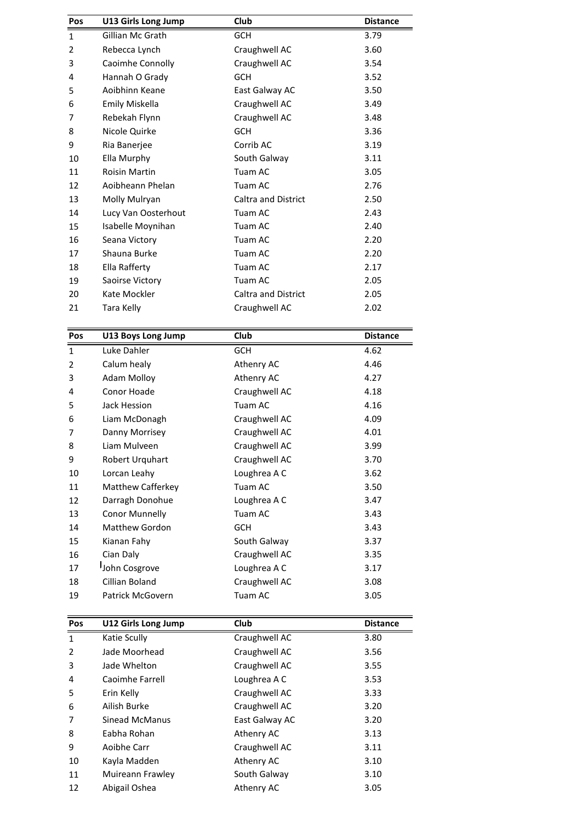| Pos            | U13 Girls Long Jump  | Club                       | <b>Distance</b> |
|----------------|----------------------|----------------------------|-----------------|
| $\mathbf{1}$   | Gillian Mc Grath     | <b>GCH</b>                 | 3.79            |
| $\overline{2}$ | Rebecca Lynch        | Craughwell AC              | 3.60            |
| 3              | Caoimhe Connolly     | Craughwell AC              | 3.54            |
| 4              | Hannah O Grady       | <b>GCH</b>                 | 3.52            |
| 5              | Aoibhinn Keane       | East Galway AC             | 3.50            |
| 6              | Emily Miskella       | Craughwell AC              | 3.49            |
| 7              | Rebekah Flynn        | Craughwell AC              | 3.48            |
| 8              | Nicole Quirke        | <b>GCH</b>                 | 3.36            |
| 9              | Ria Banerjee         | Corrib AC                  | 3.19            |
| 10             | Ella Murphy          | South Galway               | 3.11            |
| 11             | <b>Roisin Martin</b> | Tuam AC                    | 3.05            |
| 12             | Aoibheann Phelan     | Tuam AC                    | 2.76            |
| 13             | Molly Mulryan        | <b>Caltra and District</b> | 2.50            |
| 14             | Lucy Van Oosterhout  | Tuam AC                    | 2.43            |
| 15             | Isabelle Moynihan    | Tuam AC                    | 2.40            |
| 16             | Seana Victory        | Tuam AC                    | 2.20            |
| 17             | Shauna Burke         | Tuam AC                    | 2.20            |
| 18             | Ella Rafferty        | Tuam AC                    | 2.17            |
| 19             | Saoirse Victory      | Tuam AC                    | 2.05            |
| 20             | Kate Mockler         | <b>Caltra and District</b> | 2.05            |
| 21             | Tara Kelly           | Craughwell AC              | 2.02            |
| Pos            | U13 Boys Long Jump   | Club                       | <b>Distance</b> |
| $\mathbf{1}$   | Luke Dahler          | <b>GCH</b>                 | 4.62            |

| 20             | Kate Mockler             | <b>Caltra and District</b> | 2.05            |
|----------------|--------------------------|----------------------------|-----------------|
| 21             | Tara Kelly               | Craughwell AC              | 2.02            |
| Pos            | U13 Boys Long Jump       | Club                       | <b>Distance</b> |
| $\mathbf{1}$   | Luke Dahler              | <b>GCH</b>                 | 4.62            |
| $\overline{2}$ | Calum healy              | Athenry AC                 | 4.46            |
| 3              | <b>Adam Molloy</b>       | Athenry AC                 | 4.27            |
| 4              | Conor Hoade              | Craughwell AC              | 4.18            |
| 5              | Jack Hession             | Tuam AC                    | 4.16            |
| 6              | Liam McDonagh            | Craughwell AC              | 4.09            |
| 7              | Danny Morrisey           | Craughwell AC              | 4.01            |
| 8              | Liam Mulveen             | Craughwell AC              | 3.99            |
| 9              | Robert Urquhart          | Craughwell AC              | 3.70            |
| 10             | Lorcan Leahy             | Loughrea A C               | 3.62            |
| 11             | <b>Matthew Cafferkey</b> | Tuam AC                    | 3.50            |
| 12             | Darragh Donohue          | Loughrea A C               | 3.47            |
| 13             | <b>Conor Munnelly</b>    | Tuam AC                    | 3.43            |
| 14             | Matthew Gordon           | <b>GCH</b>                 | 3.43            |
| 15             | Kianan Fahy              | South Galway               | 3.37            |
| 16             | Cian Daly                | Craughwell AC              | 3.35            |
| 17             | John Cosgrove            | Loughrea A C               | 3.17            |
| 18             | Cillian Boland           | Craughwell AC              | 3.08            |
| 19             | Patrick McGovern         | Tuam AC                    | 3.05            |
| Pos            | U12 Girls Long Jump      | Club                       | <b>Distance</b> |
| $\mathbf{1}$   | Katie Scully             | Craughwell AC              | 3.80            |

| 18<br>19 | Cillian Boland<br>Patrick McGovern | Craughwell AC<br>Tuam AC | 3.08<br>3.05    |
|----------|------------------------------------|--------------------------|-----------------|
| Pos      | U12 Girls Long Jump                | Club                     | <b>Distance</b> |
| 1        | Katie Scully                       | Craughwell AC            | 3.80            |
| 2        | Jade Moorhead                      | Craughwell AC            | 3.56            |
| 3        | Jade Whelton                       | Craughwell AC            | 3.55            |
| 4        | Caoimhe Farrell                    | Loughrea A C             | 3.53            |
| 5        | Erin Kelly                         | Craughwell AC            | 3.33            |
| 6        | Ailish Burke                       | Craughwell AC            | 3.20            |
| 7        | <b>Sinead McManus</b>              | East Galway AC           | 3.20            |
| 8        | Eabha Rohan                        | Athenry AC               | 3.13            |
| 9        | Aoibhe Carr                        | Craughwell AC            | 3.11            |
| 10       | Kayla Madden                       | Athenry AC               | 3.10            |
| 11       | Muireann Frawley                   | South Galway             | 3.10            |
| 12       | Abigail Oshea                      | Athenry AC               | 3.05            |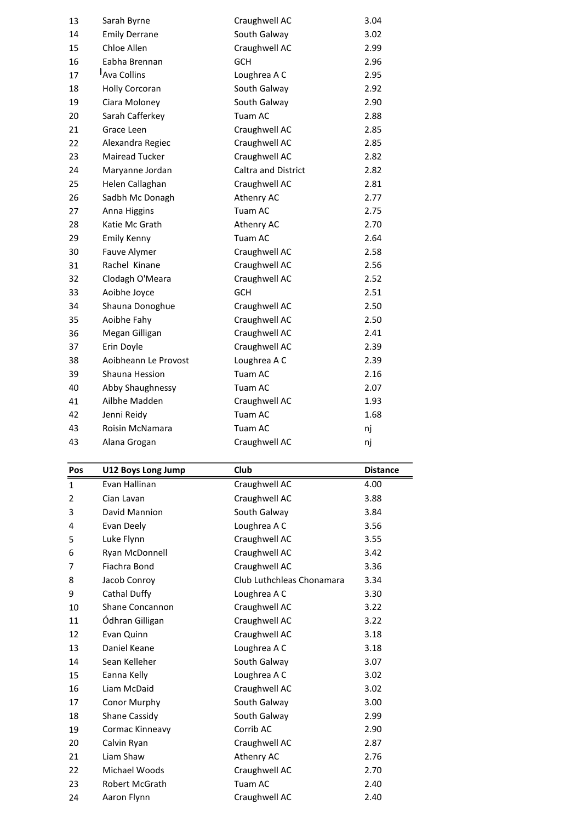| 1   | Evan Hallinan         | Craughwell AC       | 4.00            |
|-----|-----------------------|---------------------|-----------------|
| Pos | U12 Boys Long Jump    | Club                | <b>Distance</b> |
|     |                       |                     |                 |
| 43  | Alana Grogan          | Craughwell AC       | nj              |
| 43  | Roisin McNamara       | Tuam AC             | nj              |
| 42  | Jenni Reidy           | Tuam AC             | 1.68            |
| 41  | Ailbhe Madden         | Craughwell AC       | 1.93            |
| 40  | Abby Shaughnessy      | Tuam AC             | 2.07            |
| 39  | Shauna Hession        | Tuam AC             | 2.16            |
| 38  | Aoibheann Le Provost  | Loughrea A C        | 2.39            |
| 37  | Erin Doyle            | Craughwell AC       | 2.39            |
| 36  | Megan Gilligan        | Craughwell AC       | 2.41            |
| 35  | Aoibhe Fahy           | Craughwell AC       | 2.50            |
| 34  | Shauna Donoghue       | Craughwell AC       | 2.50            |
| 33  | Aoibhe Joyce          | <b>GCH</b>          | 2.51            |
| 32  | Clodagh O'Meara       | Craughwell AC       | 2.52            |
| 31  | Rachel Kinane         | Craughwell AC       | 2.56            |
| 30  | Fauve Alymer          | Craughwell AC       | 2.58            |
| 29  | <b>Emily Kenny</b>    | Tuam AC             | 2.64            |
| 28  | Katie Mc Grath        | Athenry AC          | 2.70            |
| 27  | Anna Higgins          | Tuam AC             | 2.75            |
| 26  | Sadbh Mc Donagh       | Athenry AC          | 2.77            |
| 25  | Helen Callaghan       | Craughwell AC       | 2.81            |
| 24  | Maryanne Jordan       | Caltra and District | 2.82            |
| 23  | Mairead Tucker        | Craughwell AC       | 2.82            |
| 22  | Alexandra Regiec      | Craughwell AC       | 2.85            |
| 21  | Grace Leen            | Craughwell AC       | 2.85            |
| 20  | Sarah Cafferkey       | Tuam AC             | 2.88            |
| 19  | Ciara Moloney         | South Galway        | 2.90            |
| 18  | <b>Holly Corcoran</b> | South Galway        | 2.92            |
| 17  | Ava Collins           | Loughrea A C        | 2.95            |
| 16  | Eabha Brennan         | <b>GCH</b>          | 2.96            |
| 15  | Chloe Allen           | Craughwell AC       | 2.99            |
| 14  | <b>Emily Derrane</b>  | South Galway        | 3.02            |
| 13  | Sarah Byrne           | Craughwell AC       | 3.04            |

| 43             | Roisin McNamara           | Tuam AC                   | nj              |
|----------------|---------------------------|---------------------------|-----------------|
| 43             | Alana Grogan              | Craughwell AC             | nj              |
|                |                           |                           |                 |
| Pos            | <b>U12 Boys Long Jump</b> | Club                      | <b>Distance</b> |
| $\mathbf{1}$   | Evan Hallinan             | Craughwell AC             | 4.00            |
| $\overline{2}$ | Cian Lavan                | Craughwell AC             | 3.88            |
| 3              | David Mannion             | South Galway              | 3.84            |
| 4              | Evan Deely                | Loughrea A C              | 3.56            |
| 5              | Luke Flynn                | Craughwell AC             | 3.55            |
| 6              | Ryan McDonnell            | Craughwell AC             | 3.42            |
| 7              | Fiachra Bond              | Craughwell AC             | 3.36            |
| 8              | Jacob Conroy              | Club Luthchleas Chonamara | 3.34            |
| 9              | Cathal Duffy              | Loughrea A C              | 3.30            |
| 10             | <b>Shane Concannon</b>    | Craughwell AC             | 3.22            |
| 11             | Ódhran Gilligan           | Craughwell AC             | 3.22            |
| 12             | Evan Quinn                | Craughwell AC             | 3.18            |
| 13             | Daniel Keane              | Loughrea A C              | 3.18            |
| 14             | Sean Kelleher             | South Galway              | 3.07            |
| 15             | Eanna Kelly               | Loughrea A C              | 3.02            |
| 16             | Liam McDaid               | Craughwell AC             | 3.02            |
| 17             | Conor Murphy              | South Galway              | 3.00            |
| 18             | Shane Cassidy             | South Galway              | 2.99            |
| 19             | Cormac Kinneavy           | Corrib AC                 | 2.90            |
| 20             | Calvin Ryan               | Craughwell AC             | 2.87            |
| 21             | Liam Shaw                 | Athenry AC                | 2.76            |
| 22             | Michael Woods             | Craughwell AC             | 2.70            |
| 23             | <b>Robert McGrath</b>     | Tuam AC                   | 2.40            |
| 24             | Aaron Flynn               | Craughwell AC             | 2.40            |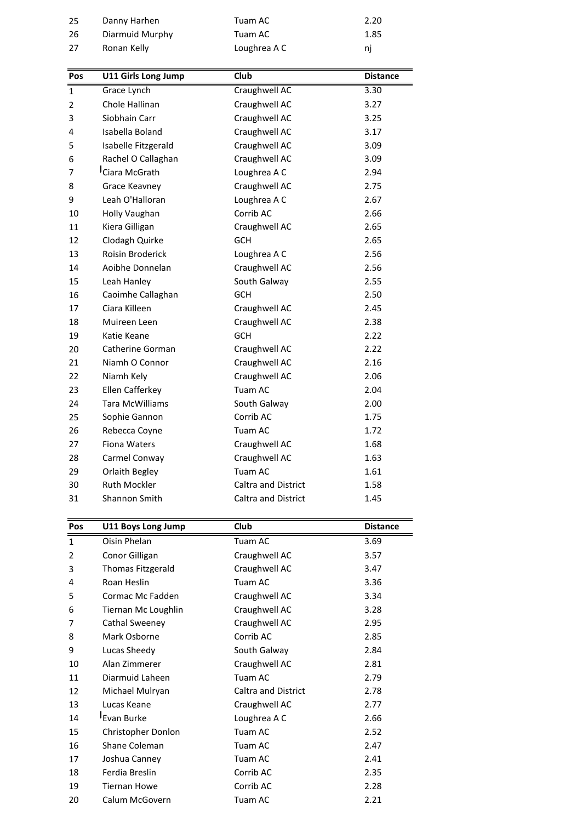| 2            | Conor Gilligan                     | Craughwell AC       | 3.57                    |
|--------------|------------------------------------|---------------------|-------------------------|
| Pos<br>1     | U11 Boys Long Jump<br>Oisin Phelan | Club<br>Tuam AC     | <b>Distance</b><br>3.69 |
|              |                                    |                     |                         |
| 31           | Shannon Smith                      | Caltra and District | 1.45                    |
| 30           | Ruth Mockler                       | Caltra and District | 1.58                    |
| 29           | Orlaith Begley                     | Tuam AC             | 1.61                    |
| 28           | Carmel Conway                      | Craughwell AC       | 1.63                    |
| 27           | Fiona Waters                       | Craughwell AC       | 1.68                    |
| 26           | Rebecca Coyne                      | Tuam AC             | 1.72                    |
| 25           | Sophie Gannon                      | Corrib AC           | 1.75                    |
| 24           | <b>Tara McWilliams</b>             | South Galway        | 2.00                    |
| 23           | Ellen Cafferkey                    | Tuam AC             | 2.04                    |
| 22           | Niamh Kely                         | Craughwell AC       | 2.06                    |
| 21           | Niamh O Connor                     | Craughwell AC       | 2.16                    |
| 20           | Catherine Gorman                   | Craughwell AC       | 2.22                    |
| 19           | Katie Keane                        | <b>GCH</b>          | 2.22                    |
| 18           | Muireen Leen                       | Craughwell AC       | 2.38                    |
| 17           | Ciara Killeen                      | Craughwell AC       | 2.45                    |
| 16           | Caoimhe Callaghan                  | <b>GCH</b>          | 2.50                    |
| 15           | Leah Hanley                        | South Galway        | 2.55                    |
| 14           | Aoibhe Donnelan                    | Craughwell AC       | 2.56                    |
| 13           | <b>Roisin Broderick</b>            | Loughrea A C        | 2.56                    |
| 12           | Clodagh Quirke                     | <b>GCH</b>          | 2.65                    |
| 11           | Kiera Gilligan                     | Craughwell AC       | 2.65                    |
| 10           | Holly Vaughan                      | Corrib AC           | 2.66                    |
| 9            | Leah O'Halloran                    | Loughrea A C        | 2.67                    |
| 8            | Grace Keavney                      | Craughwell AC       | 2.75                    |
| 7            | Ciara McGrath                      | Loughrea A C        | 2.94                    |
| 6            | Rachel O Callaghan                 | Craughwell AC       | 3.09                    |
| 5            | Isabelle Fitzgerald                | Craughwell AC       | 3.09                    |
| 4            | Isabella Boland                    | Craughwell AC       | 3.17                    |
| 3            | Siobhain Carr                      | Craughwell AC       | 3.25                    |
| 2            | Chole Hallinan                     | Craughwell AC       | 3.27                    |
| $\mathbf{1}$ | Grace Lynch                        | Craughwell AC       | 3.30                    |
| Pos          | U11 Girls Long Jump                | Club                | <b>Distance</b>         |
|              |                                    |                     |                         |
| 27           | Ronan Kelly                        | Loughrea A C        | nj                      |
| 26           | Diarmuid Murphy                    | Tuam AC             | 1.85                    |
| 25           | Danny Harhen                       | Tuam AC             | 2.20                    |

| 31           | <b>Shannon Smith</b>    | <b>Caltra and District</b> | 1.45            |
|--------------|-------------------------|----------------------------|-----------------|
| Pos          | U11 Boys Long Jump      | <b>Club</b>                | <b>Distance</b> |
| $\mathbf{1}$ | Oisin Phelan            | Tuam AC                    | 3.69            |
| 2            | Conor Gilligan          | Craughwell AC              | 3.57            |
| 3            | Thomas Fitzgerald       | Craughwell AC              | 3.47            |
| 4            | Roan Heslin             | Tuam AC                    | 3.36            |
| 5            | Cormac Mc Fadden        | Craughwell AC              | 3.34            |
| 6            | Tiernan Mc Loughlin     | Craughwell AC              | 3.28            |
| 7            | Cathal Sweeney          | Craughwell AC              | 2.95            |
| 8            | Mark Osborne            | Corrib AC                  | 2.85            |
| 9            | Lucas Sheedy            | South Galway               | 2.84            |
| 10           | Alan Zimmerer           | Craughwell AC              | 2.81            |
| 11           | Diarmuid Laheen         | Tuam AC                    | 2.79            |
| 12           | Michael Mulryan         | <b>Caltra and District</b> | 2.78            |
| 13           | Lucas Keane             | Craughwell AC              | 2.77            |
| 14           | <sup>I</sup> Evan Burke | Loughrea A C               | 2.66            |
| 15           | Christopher Donlon      | Tuam AC                    | 2.52            |
| 16           | Shane Coleman           | Tuam AC                    | 2.47            |
| 17           | Joshua Canney           | Tuam AC                    | 2.41            |
| 18           | Ferdia Breslin          | Corrib AC                  | 2.35            |
| 19           | <b>Tiernan Howe</b>     | Corrib AC                  | 2.28            |
| 20           | Calum McGovern          | Tuam AC                    | 2.21            |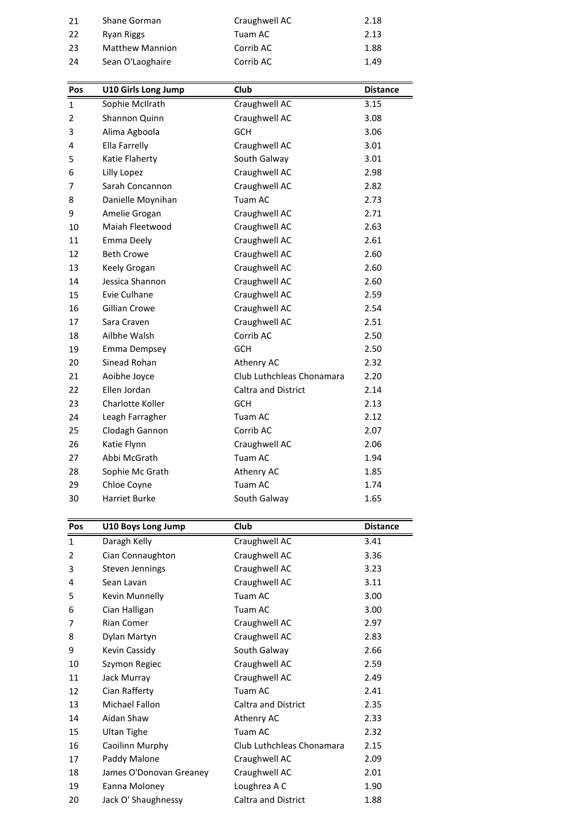| Craughwell AC<br>21<br>Shane Gorman<br>2.18<br>22<br>Tuam AC<br>2.13<br>Ryan Riggs<br>23<br><b>Matthew Mannion</b><br>Corrib AC<br>1.88<br>24<br>Sean O'Laoghaire<br>Corrib AC<br>1.49<br>Club<br><b>U10 Girls Long Jump</b><br><b>Distance</b><br>Pos |
|--------------------------------------------------------------------------------------------------------------------------------------------------------------------------------------------------------------------------------------------------------|
|                                                                                                                                                                                                                                                        |
|                                                                                                                                                                                                                                                        |
|                                                                                                                                                                                                                                                        |
|                                                                                                                                                                                                                                                        |
|                                                                                                                                                                                                                                                        |
|                                                                                                                                                                                                                                                        |

| 1            | Daragh Kellv                   | Craughwell AC                 | 3.41            |
|--------------|--------------------------------|-------------------------------|-----------------|
| Pos          | U10 Boys Long Jump             | Club                          | <b>Distance</b> |
|              |                                |                               |                 |
| 30           | Harriet Burke                  | South Galway                  | 1.65            |
| 29           | Chloe Coyne                    | Tuam AC                       | 1.74            |
| 28           | Sophie Mc Grath                | Athenry AC                    | 1.85            |
| 27           | Abbi McGrath                   | Tuam AC                       | 1.94            |
| 26           | Katie Flynn                    | Craughwell AC                 | 2.06            |
| 25           | Clodagh Gannon                 | Corrib AC                     | 2.07            |
| 24           | Leagh Farragher                | Tuam AC                       | 2.12            |
| 23           | Charlotte Koller               | <b>GCH</b>                    | 2.13            |
| 22           | Ellen Jordan                   | <b>Caltra and District</b>    | 2.14            |
| 21           | Aoibhe Joyce                   | Club Luthchleas Chonamara     | 2.20            |
| 20           | Sinead Rohan                   | Athenry AC                    | 2.32            |
| 19           | Emma Dempsey                   | <b>GCH</b>                    | 2.50            |
| 18           | Ailbhe Walsh                   | Corrib AC                     | 2.50            |
| 17           | Sara Craven                    | Craughwell AC                 | 2.51            |
| 16           | Gillian Crowe                  | Craughwell AC                 | 2.54            |
| 15           | Evie Culhane                   | Craughwell AC                 | 2.59            |
| 14           | Jessica Shannon                | Craughwell AC                 | 2.60            |
| 13           | Keely Grogan                   | Craughwell AC                 | 2.60            |
| 12           | <b>Beth Crowe</b>              | Craughwell AC                 | 2.60            |
| 11           | Emma Deely                     | Craughwell AC                 | 2.61            |
| 10           | Maiah Fleetwood                | Craughwell AC                 | 2.63            |
| 9            | Amelie Grogan                  | Craughwell AC                 | 2.71            |
| 8            | Danielle Moynihan              | Tuam AC                       | 2.73            |
| 7            | Lilly Lopez<br>Sarah Concannon | Craughwell AC                 | 2.82            |
| 5<br>6       | Katie Flaherty                 | South Galway<br>Craughwell AC | 3.01<br>2.98    |
| 4            | Ella Farrelly                  | Craughwell AC                 | 3.01            |
| 3            | Alima Agboola                  | <b>GCH</b>                    | 3.06            |
| 2            | Shannon Quinn                  | Craughwell AC                 | 3.08            |
| $\mathbf{1}$ | Sophie McIlrath                | Craughwell AC                 | 3.15            |
| Pos          | <b>U10 Girls Long Jump</b>     | Club                          | <b>Distance</b> |
|              |                                |                               |                 |
| 24           | Sean O'Laoghaire               | Corrib AC                     | 1.49            |
| 23           | <b>Matthew Mannion</b>         | Corrib AC                     | 1.88            |
|              |                                |                               |                 |

| 29           | Chloe Coyne             | Tuam AC                    |                 |
|--------------|-------------------------|----------------------------|-----------------|
| 30           | <b>Harriet Burke</b>    | South Galway               | 1.65            |
|              |                         |                            |                 |
| Pos          | U10 Boys Long Jump      | Club                       | <b>Distance</b> |
| $\mathbf{1}$ | Daragh Kelly            | Craughwell AC              | 3.41            |
| 2            | Cian Connaughton        | Craughwell AC              | 3.36            |
| 3            | Steven Jennings         | Craughwell AC              | 3.23            |
| 4            | Sean Lavan              | Craughwell AC              | 3.11            |
| 5            | Kevin Munnelly          | Tuam AC                    | 3.00            |
| 6            | Cian Halligan           | Tuam AC                    | 3.00            |
| 7            | <b>Rian Comer</b>       | Craughwell AC              | 2.97            |
| 8            | Dylan Martyn            | Craughwell AC              | 2.83            |
| 9            | Kevin Cassidy           | South Galway               | 2.66            |
| 10           | Szymon Regiec           | Craughwell AC              | 2.59            |
| 11           | Jack Murray             | Craughwell AC              | 2.49            |
| 12           | Cian Rafferty           | Tuam AC                    | 2.41            |
| 13           | Michael Fallon          | Caltra and District        | 2.35            |
| 14           | Aidan Shaw              | Athenry AC                 | 2.33            |
| 15           | <b>Ultan Tighe</b>      | Tuam AC                    | 2.32            |
| 16           | Caoilinn Murphy         | Club Luthchleas Chonamara  | 2.15            |
| 17           | Paddy Malone            | Craughwell AC              | 2.09            |
| 18           | James O'Donovan Greaney | Craughwell AC              | 2.01            |
| 19           | Eanna Moloney           | Loughrea A C               | 1.90            |
| 20           | Jack O' Shaughnessy     | <b>Caltra and District</b> | 1.88            |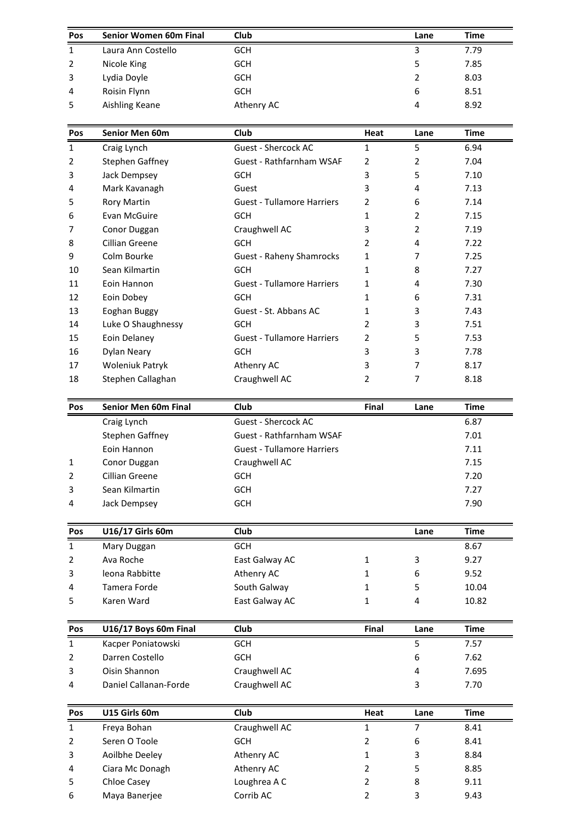| Pos            | Senior Women 60m Final | <b>Club</b>                |      | Lane | <b>Time</b> |
|----------------|------------------------|----------------------------|------|------|-------------|
| 1              | Laura Ann Costello     | <b>GCH</b>                 |      | 3    | 7.79        |
| $\overline{2}$ | Nicole King            | <b>GCH</b>                 |      | 5    | 7.85        |
| 3              | Lydia Doyle            | <b>GCH</b>                 |      | 2    | 8.03        |
| 4              | Roisin Flynn           | <b>GCH</b>                 |      | 6    | 8.51        |
| 5              | Aishling Keane         | Athenry AC                 |      | 4    | 8.92        |
| Pos            | Senior Men 60m         | Club                       | Heat | Lane | <b>Time</b> |
|                | Craig Lynch            | <b>Guest - Shercock AC</b> |      | 5    | 6.94        |

| 4            | Roisin Flynn           | <b>GCH</b>                        |                | 6              | 8.51        |
|--------------|------------------------|-----------------------------------|----------------|----------------|-------------|
| 5            | Aishling Keane         | Athenry AC                        |                | 4              | 8.92        |
| Pos          | Senior Men 60m         | Club                              | Heat           | Lane           | <b>Time</b> |
| $\mathbf{1}$ | Craig Lynch            | Guest - Shercock AC               | $\mathbf{1}$   | 5              | 6.94        |
| 2            | Stephen Gaffney        | <b>Guest - Rathfarnham WSAF</b>   | 2              | 2              | 7.04        |
| 3            | Jack Dempsey           | <b>GCH</b>                        | 3              | 5              | 7.10        |
| 4            | Mark Kavanagh          | Guest                             | 3              | 4              | 7.13        |
| 5            | <b>Rory Martin</b>     | <b>Guest - Tullamore Harriers</b> | 2              | 6              | 7.14        |
| 6            | Evan McGuire           | <b>GCH</b>                        | 1              | 2              | 7.15        |
| 7            | Conor Duggan           | Craughwell AC                     | 3              | $\overline{2}$ | 7.19        |
| 8            | Cillian Greene         | <b>GCH</b>                        | 2              | 4              | 7.22        |
| 9            | Colm Bourke            | <b>Guest - Raheny Shamrocks</b>   | 1              | 7              | 7.25        |
| 10           | Sean Kilmartin         | <b>GCH</b>                        | 1              | 8              | 7.27        |
| 11           | Eoin Hannon            | <b>Guest - Tullamore Harriers</b> | 1              | 4              | 7.30        |
| 12           | Eoin Dobey             | <b>GCH</b>                        | 1              | 6              | 7.31        |
| 13           | Eoghan Buggy           | Guest - St. Abbans AC             | 1              | 3              | 7.43        |
| 14           | Luke O Shaughnessy     | <b>GCH</b>                        | 2              | 3              | 7.51        |
| 15           | Eoin Delaney           | <b>Guest - Tullamore Harriers</b> | 2              | 5              | 7.53        |
| 16           | <b>Dylan Neary</b>     | <b>GCH</b>                        | 3              | 3              | 7.78        |
| 17           | <b>Woleniuk Patryk</b> | Athenry AC                        | 3              | 7              | 8.17        |
| 18           | Stephen Callaghan      | Craughwell AC                     | $\overline{2}$ | 7              | 8.18        |
| Pos          | Senior Men 60m Final   | Club                              | Final          | Lane           | <b>Time</b> |
|              | Craig Lynch            | Guest - Shercock AC               |                |                | 6.87        |

| 17           | <b>Woleniuk Patryk</b>      | Athenry AC                        | 3     | 7    | 8.17        |
|--------------|-----------------------------|-----------------------------------|-------|------|-------------|
| 18           | Stephen Callaghan           | Craughwell AC                     | 2     | 7    | 8.18        |
|              |                             |                                   |       |      |             |
| Pos          | <b>Senior Men 60m Final</b> | Club                              | Final | Lane | <b>Time</b> |
|              | Craig Lynch                 | <b>Guest - Shercock AC</b>        |       |      | 6.87        |
|              | Stephen Gaffney             | <b>Guest - Rathfarnham WSAF</b>   |       |      | 7.01        |
|              | Eoin Hannon                 | <b>Guest - Tullamore Harriers</b> |       |      | 7.11        |
| $\mathbf{1}$ | Conor Duggan                | Craughwell AC                     |       |      | 7.15        |
| 2            | Cillian Greene              | <b>GCH</b>                        |       |      | 7.20        |
| 3            | Sean Kilmartin              | <b>GCH</b>                        |       |      | 7.27        |
| 4            | Jack Dempsey                | <b>GCH</b>                        |       |      | 7.90        |
|              |                             |                                   |       |      |             |
| Pos          | U16/17 Girls 60m            | <b>Club</b>                       |       | Lane | <b>Time</b> |
| 1            | Mary Duggan                 | <b>GCH</b>                        |       |      | 8.67        |

| 3              | Sean Kilmartin        | <b>GCH</b>     |       |      | 7.27        |
|----------------|-----------------------|----------------|-------|------|-------------|
| 4              | Jack Dempsey          | <b>GCH</b>     |       |      | 7.90        |
| Pos            | U16/17 Girls 60m      | Club           |       | Lane | <b>Time</b> |
| $\mathbf{1}$   | Mary Duggan           | <b>GCH</b>     |       |      | 8.67        |
| $\overline{2}$ | Ava Roche             | East Galway AC |       | 3    | 9.27        |
| 3              | leona Rabbitte        | Athenry AC     |       | 6    | 9.52        |
| 4              | Tamera Forde          | South Galway   |       | 5    | 10.04       |
| 5              | Karen Ward            | East Galway AC |       | 4    | 10.82       |
| Pos            | U16/17 Boys 60m Final | <b>Club</b>    | Final | Lane | <b>Time</b> |
|                | Kacper Poniatowski    | <b>GCH</b>     |       |      | 7.57        |

| $\overline{4}$ | Tamera Forde          | South Galway   |              | 5    | 10.04       |
|----------------|-----------------------|----------------|--------------|------|-------------|
| 5              | Karen Ward            | East Galway AC |              | 4    | 10.82       |
| Pos            | U16/17 Boys 60m Final | Club           | <b>Final</b> | Lane | <b>Time</b> |
| 1              | Kacper Poniatowski    | <b>GCH</b>     |              | 5    | 7.57        |
| 2              | Darren Costello       | <b>GCH</b>     |              | 6    | 7.62        |
| 3              | Oisin Shannon         | Craughwell AC  |              | 4    | 7.695       |
| 4              | Daniel Callanan-Forde | Craughwell AC  |              | 3    | 7.70        |
| Pos            | U15 Girls 60m         | <b>Club</b>    | Heat         | Lane | Time        |
|                | Freva Bohan           | Craughwell AC  |              |      | 8.41        |

| 3<br>4         | Oisin Shannon<br>Daniel Callanan-Forde | Craughwell AC<br>Craughwell AC |      | 4<br>3 | 7.695<br>7.70 |
|----------------|----------------------------------------|--------------------------------|------|--------|---------------|
| <b>Pos</b>     | U15 Girls 60m                          | <b>Club</b>                    | Heat | Lane   | <b>Time</b>   |
| 1              | Freya Bohan                            | Craughwell AC                  |      |        | 8.41          |
| 2              | Seren O Toole                          | <b>GCH</b>                     | 2    | 6      | 8.41          |
| 3              | Aoilbhe Deeley                         | Athenry AC                     |      | 3      | 8.84          |
| $\overline{4}$ | Ciara Mc Donagh                        | Athenry AC                     |      | 5      | 8.85          |
| 5              | Chloe Casey                            | Loughrea A C                   | 2    | 8      | 9.11          |
| 6              | Maya Banerjee                          | Corrib AC                      |      | 3      | 9.43          |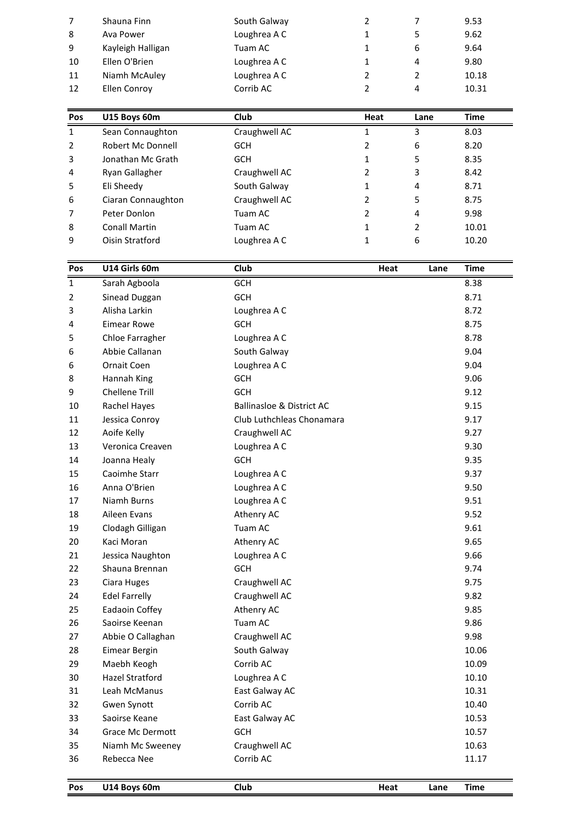| Pos            | U15 Boys 60m      | Club         | Heat         | Lane | Time  |
|----------------|-------------------|--------------|--------------|------|-------|
|                |                   |              |              |      |       |
|                |                   |              |              |      |       |
| 12             | Ellen Conroy      | Corrib AC    | 2            | 4    | 10.31 |
| 11             | Niamh McAuley     | Loughrea A C | 2            | 2    | 10.18 |
| 10             | Ellen O'Brien     | Loughrea A C | 1            | 4    | 9.80  |
| 9              | Kayleigh Halligan | Tuam AC      | $\mathbf{1}$ | 6    | 9.64  |
| 8              | Ava Power         | Loughrea A C | $\mathbf{1}$ | 5    | 9.62  |
| $\overline{7}$ | Shauna Finn       | South Galway | 2            | 7    | 9.53  |
|                |                   |              |              |      |       |

| 11  | Niamh McAuley        | Loughrea A C  | $\overline{2}$ | $\overline{2}$ | 10.18       |
|-----|----------------------|---------------|----------------|----------------|-------------|
| 12  | Ellen Conroy         | Corrib AC     | 2              | 4              | 10.31       |
| Pos | U15 Boys 60m         | <b>Club</b>   | Heat           | Lane           | <b>Time</b> |
| 1   | Sean Connaughton     | Craughwell AC | 1              | 3              | 8.03        |
| 2   | Robert Mc Donnell    | <b>GCH</b>    | 2              | 6              | 8.20        |
| 3   | Jonathan Mc Grath    | <b>GCH</b>    | 1              | 5              | 8.35        |
| 4   | Ryan Gallagher       | Craughwell AC | 2              | 3              | 8.42        |
| 5   | Eli Sheedy           | South Galway  | 1              | 4              | 8.71        |
| 6   | Ciaran Connaughton   | Craughwell AC | 2              | 5              | 8.75        |
| 7   | Peter Donlon         | Tuam AC       | 2              | 4              | 9.98        |
| 8   | <b>Conall Martin</b> | Tuam AC       | 1              | 2              | 10.01       |
| 9   | Oisin Stratford      | Loughrea A C  | 1              | 6              | 10.20       |
| Pos | U14 Girls 60m        | <b>Club</b>   | Heat           | Lane           | Time        |
|     | Sarah Agboola        | <b>GCH</b>    |                |                | 8.38        |

| 8            | <b>Conall Martin</b>    | Tuam AC                              | $\mathbf{1}$ | $\overline{2}$ | 10.01       |
|--------------|-------------------------|--------------------------------------|--------------|----------------|-------------|
| 9            | Oisin Stratford         | Loughrea A C                         | $\mathbf{1}$ | 6              | 10.20       |
|              |                         |                                      |              |                |             |
| Pos          | U14 Girls 60m           | Club                                 | Heat         | Lane           | <b>Time</b> |
| $\mathbf{1}$ | Sarah Agboola           | GCH                                  |              |                | 8.38        |
| 2            | Sinead Duggan           | <b>GCH</b>                           |              |                | 8.71        |
| 3            | Alisha Larkin           | Loughrea A C                         |              |                | 8.72        |
| 4            | <b>Eimear Rowe</b>      | <b>GCH</b>                           |              |                | 8.75        |
| 5            | Chloe Farragher         | Loughrea A C                         |              |                | 8.78        |
| 6            | Abbie Callanan          | South Galway                         |              |                | 9.04        |
| 6            | Ornait Coen             | Loughrea A C                         |              |                | 9.04        |
| 8            | Hannah King             | <b>GCH</b>                           |              |                | 9.06        |
| 9            | <b>Chellene Trill</b>   | <b>GCH</b>                           |              |                | 9.12        |
| 10           | Rachel Hayes            | <b>Ballinasloe &amp; District AC</b> |              |                | 9.15        |
| 11           | Jessica Conroy          | Club Luthchleas Chonamara            |              |                | 9.17        |
| 12           | Aoife Kelly             | Craughwell AC                        |              |                | 9.27        |
| 13           | Veronica Creaven        | Loughrea A C                         |              |                | 9.30        |
| 14           | Joanna Healy            | <b>GCH</b>                           |              |                | 9.35        |
| 15           | Caoimhe Starr           | Loughrea A C                         |              |                | 9.37        |
| 16           | Anna O'Brien            | Loughrea A C                         |              |                | 9.50        |
| 17           | Niamh Burns             | Loughrea A C                         |              |                | 9.51        |
| 18           | Aileen Evans            | Athenry AC                           |              |                | 9.52        |
| 19           | Clodagh Gilligan        | Tuam AC                              |              |                | 9.61        |
| 20           | Kaci Moran              | Athenry AC                           |              |                | 9.65        |
| 21           | Jessica Naughton        | Loughrea A C                         |              |                | 9.66        |
| 22           | Shauna Brennan          | <b>GCH</b>                           |              |                | 9.74        |
| 23           | Ciara Huges             | Craughwell AC                        |              |                | 9.75        |
| 24           | <b>Edel Farrelly</b>    | Craughwell AC                        |              |                | 9.82        |
| 25           | Eadaoin Coffey          | Athenry AC                           |              |                | 9.85        |
| 26           | Saoirse Keenan          | Tuam AC                              |              |                | 9.86        |
| 27           | Abbie O Callaghan       | Craughwell AC                        |              |                | 9.98        |
| 28           | Eimear Bergin           | South Galway                         |              |                | 10.06       |
| 29           | Maebh Keogh             | Corrib AC                            |              |                | 10.09       |
| 30           | <b>Hazel Stratford</b>  | Loughrea A C                         |              |                | 10.10       |
| 31           | Leah McManus            | East Galway AC                       |              |                | 10.31       |
| 32           | Gwen Synott             | Corrib AC                            |              |                | 10.40       |
| 33           | Saoirse Keane           | East Galway AC                       |              |                | 10.53       |
| 34           | <b>Grace Mc Dermott</b> | GCH                                  |              |                | 10.57       |
| 35           | Niamh Mc Sweeney        | Craughwell AC                        |              |                | 10.63       |
| 36           | Rebecca Nee             | Corrib AC                            |              |                | 11.17       |
|              |                         |                                      |              |                |             |
| <b>Pos</b>   | U14 Bovs 60m            | Club                                 | Heat         | Lane           | <b>Time</b> |

| Pos | U14 Boys 60m | Club |
|-----|--------------|------|
|-----|--------------|------|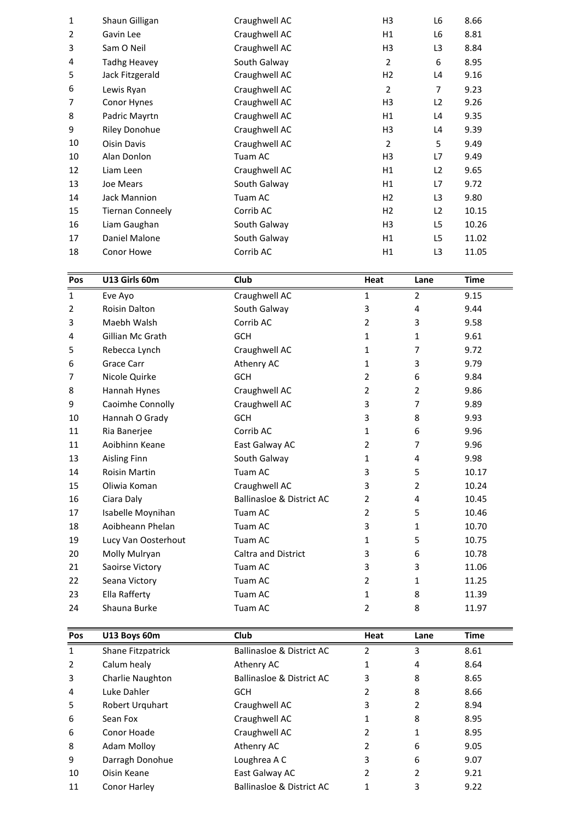| $\mathbf{1}$ | Eve Avo                 | Craughwell AC | 1              | 2              | 9.15        |  |
|--------------|-------------------------|---------------|----------------|----------------|-------------|--|
| Pos          | U13 Girls 60m           | Club          | Heat           | Lane           | <b>Time</b> |  |
|              |                         |               |                |                |             |  |
| 18           | Conor Howe              | Corrib AC     | H1             | L3             | 11.05       |  |
| 17           | Daniel Malone           | South Galway  | H1             | L <sub>5</sub> | 11.02       |  |
| 16           | Liam Gaughan            | South Galway  | H <sub>3</sub> | L <sub>5</sub> | 10.26       |  |
| 15           | <b>Tiernan Conneely</b> | Corrib AC     | H2             | L2             | 10.15       |  |
| 14           | Jack Mannion            | Tuam AC       | H2             | L <sub>3</sub> | 9.80        |  |
| 13           | Joe Mears               | South Galway  | H1             | L7             | 9.72        |  |
| 12           | Liam Leen               | Craughwell AC | H1             | L2             | 9.65        |  |
| 10           | Alan Donlon             | Tuam AC       | H <sub>3</sub> | L7             | 9.49        |  |
| 10           | <b>Oisin Davis</b>      | Craughwell AC | $\overline{2}$ | 5              | 9.49        |  |
| 9            | <b>Riley Donohue</b>    | Craughwell AC | H <sub>3</sub> | L4             | 9.39        |  |
| 8            | Padric Mayrtn           | Craughwell AC | H1             | L4             | 9.35        |  |
| 7            | Conor Hynes             | Craughwell AC | H <sub>3</sub> | L2             | 9.26        |  |
| 6            | Lewis Ryan              | Craughwell AC | $\overline{2}$ | $\overline{7}$ | 9.23        |  |
| 5            | Jack Fitzgerald         | Craughwell AC | H2             | L4             | 9.16        |  |
| 4            | <b>Tadhg Heavey</b>     | South Galway  | $\overline{2}$ | 6              | 8.95        |  |
| 3            | Sam O Neil              | Craughwell AC | H <sub>3</sub> | L <sub>3</sub> | 8.84        |  |
| 2            | Gavin Lee               | Craughwell AC | H1             | L6             | 8.81        |  |
| 1            | Shaun Gilligan          | Craughwell AC | H3             | L6             | 8.66        |  |
|              |                         |               |                |                |             |  |

| 17          | Daniel Malone        | South Galway                         | H1             | L <sub>5</sub> | 11.02       |
|-------------|----------------------|--------------------------------------|----------------|----------------|-------------|
| 18          | <b>Conor Howe</b>    | Corrib AC                            | H1             | L3             | 11.05       |
|             |                      |                                      |                |                |             |
| Pos         | U13 Girls 60m        | <b>Club</b>                          | <b>Heat</b>    | Lane           | <b>Time</b> |
| $\mathbf 1$ | Eve Ayo              | Craughwell AC                        | 1              | 2              | 9.15        |
| 2           | Roisin Dalton        | South Galway                         | 3              | 4              | 9.44        |
| 3           | Maebh Walsh          | Corrib AC                            | $\overline{2}$ | 3              | 9.58        |
| 4           | Gillian Mc Grath     | GCH                                  | 1              | $\mathbf{1}$   | 9.61        |
| 5           | Rebecca Lynch        | Craughwell AC                        | 1              | 7              | 9.72        |
| 6           | <b>Grace Carr</b>    | Athenry AC                           | $\mathbf{1}$   | 3              | 9.79        |
| 7           | Nicole Quirke        | <b>GCH</b>                           | $\overline{2}$ | 6              | 9.84        |
| 8           | Hannah Hynes         | Craughwell AC                        | $\overline{2}$ | $\overline{2}$ | 9.86        |
| 9           | Caoimhe Connolly     | Craughwell AC                        | 3              | 7              | 9.89        |
| 10          | Hannah O Grady       | <b>GCH</b>                           | 3              | 8              | 9.93        |
| 11          | Ria Banerjee         | Corrib AC                            | 1              | 6              | 9.96        |
| 11          | Aoibhinn Keane       | East Galway AC                       | $\overline{2}$ | 7              | 9.96        |
| 13          | <b>Aisling Finn</b>  | South Galway                         | 1              | 4              | 9.98        |
| 14          | <b>Roisin Martin</b> | Tuam AC                              | 3              | 5              | 10.17       |
| 15          | Oliwia Koman         | Craughwell AC                        | 3              | $\overline{2}$ | 10.24       |
| 16          | Ciara Daly           | <b>Ballinasloe &amp; District AC</b> | 2              | 4              | 10.45       |
| 17          | Isabelle Moynihan    | Tuam AC                              | $\overline{2}$ | 5              | 10.46       |
| 18          | Aoibheann Phelan     | Tuam AC                              | 3              | 1              | 10.70       |
| 19          | Lucy Van Oosterhout  | Tuam AC                              | $\mathbf{1}$   | 5              | 10.75       |
| 20          | Molly Mulryan        | <b>Caltra and District</b>           | 3              | 6              | 10.78       |
| 21          | Saoirse Victory      | Tuam AC                              | 3              | 3              | 11.06       |
| 22          | Seana Victory        | Tuam AC                              | $\overline{2}$ | $\mathbf{1}$   | 11.25       |
| 23          | Ella Rafferty        | Tuam AC                              | $\mathbf{1}$   | 8              | 11.39       |
| 24          | Shauna Burke         | Tuam AC                              | $\overline{2}$ | 8              | 11.97       |
| Pos         | U13 Boys 60m         | Club                                 | Heat           | Lane           | <b>Time</b> |
| 1           | Shane Fitzpatrick    | <b>Ballinasloe &amp; District AC</b> | 2              | 3              | 8.61        |

| 23           | Ella Rafferty     | Tuam AC                              |      | 8    | 11.39       |
|--------------|-------------------|--------------------------------------|------|------|-------------|
| 24           | Shauna Burke      | Tuam AC                              | 2    | 8    | 11.97       |
|              |                   |                                      |      |      |             |
| Pos          | U13 Boys 60m      | <b>Club</b>                          | Heat | Lane | <b>Time</b> |
| $\mathbf{1}$ | Shane Fitzpatrick | <b>Ballinasloe &amp; District AC</b> | 2    | 3    | 8.61        |
| 2            | Calum healy       | Athenry AC                           | 1    | 4    | 8.64        |
| 3            | Charlie Naughton  | <b>Ballinasloe &amp; District AC</b> | 3    | 8    | 8.65        |
| 4            | Luke Dahler       | <b>GCH</b>                           | 2    | 8    | 8.66        |
| 5            | Robert Urquhart   | Craughwell AC                        | 3    | 2    | 8.94        |
| 6            | Sean Fox          | Craughwell AC                        |      | 8    | 8.95        |
| 6            | Conor Hoade       | Craughwell AC                        |      | 1    | 8.95        |
| 8            | Adam Molloy       | Athenry AC                           | 2    | 6    | 9.05        |
| 9            | Darragh Donohue   | Loughrea A C                         | 3    | 6    | 9.07        |
| 10           | Oisin Keane       | East Galway AC                       | 2    | 2    | 9.21        |
| 11           | Conor Harley      | <b>Ballinasloe &amp; District AC</b> |      | 3    | 9.22        |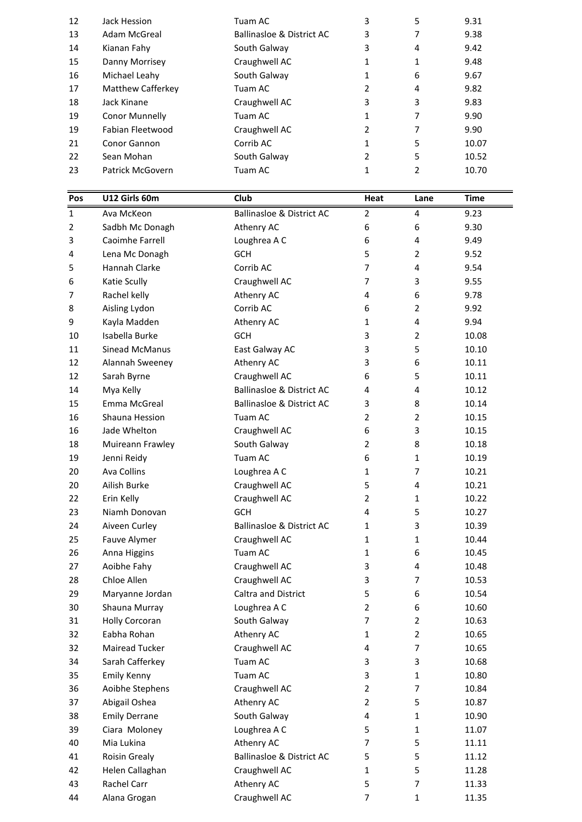| 3<br>Kianan Fahy<br>South Galway<br>4<br>9.42<br>14<br>Craughwell AC<br>9.48<br>15<br>Danny Morrisey<br>1<br>1<br>South Galway<br>16<br>Michael Leahy<br>6<br>9.67<br>1<br>Matthew Cafferkey<br>Tuam AC<br>2<br>4<br>9.82<br>17<br>Jack Kinane<br>Craughwell AC<br>3<br>3<br>18<br>9.83<br>Conor Munnelly<br>9.90<br>Tuam AC<br>7<br>19<br>1<br>Craughwell AC<br>7<br>Fabian Fleetwood<br>2<br>9.90<br>19<br>Corrib AC<br>5<br>Conor Gannon<br>1<br>21<br>10.07<br>5<br>22<br>Sean Mohan<br>South Galway<br>2<br>10.52<br>2<br>Patrick McGovern<br>Tuam AC<br>1<br>10.70<br>23<br>U12 Girls 60m<br><b>Club</b><br>Pos<br>Time<br>Heat<br>Lane |  |  |  |  |
|-----------------------------------------------------------------------------------------------------------------------------------------------------------------------------------------------------------------------------------------------------------------------------------------------------------------------------------------------------------------------------------------------------------------------------------------------------------------------------------------------------------------------------------------------------------------------------------------------------------------------------------------------|--|--|--|--|
|                                                                                                                                                                                                                                                                                                                                                                                                                                                                                                                                                                                                                                               |  |  |  |  |
|                                                                                                                                                                                                                                                                                                                                                                                                                                                                                                                                                                                                                                               |  |  |  |  |
|                                                                                                                                                                                                                                                                                                                                                                                                                                                                                                                                                                                                                                               |  |  |  |  |
|                                                                                                                                                                                                                                                                                                                                                                                                                                                                                                                                                                                                                                               |  |  |  |  |
|                                                                                                                                                                                                                                                                                                                                                                                                                                                                                                                                                                                                                                               |  |  |  |  |
|                                                                                                                                                                                                                                                                                                                                                                                                                                                                                                                                                                                                                                               |  |  |  |  |
|                                                                                                                                                                                                                                                                                                                                                                                                                                                                                                                                                                                                                                               |  |  |  |  |
|                                                                                                                                                                                                                                                                                                                                                                                                                                                                                                                                                                                                                                               |  |  |  |  |
|                                                                                                                                                                                                                                                                                                                                                                                                                                                                                                                                                                                                                                               |  |  |  |  |
|                                                                                                                                                                                                                                                                                                                                                                                                                                                                                                                                                                                                                                               |  |  |  |  |
|                                                                                                                                                                                                                                                                                                                                                                                                                                                                                                                                                                                                                                               |  |  |  |  |
|                                                                                                                                                                                                                                                                                                                                                                                                                                                                                                                                                                                                                                               |  |  |  |  |
| 7<br>Adam McGreal<br>Ballinasloe & District AC<br>3<br>9.38<br>13                                                                                                                                                                                                                                                                                                                                                                                                                                                                                                                                                                             |  |  |  |  |
| 5<br>3<br>9.31<br>12<br>Jack Hession<br>Tuam AC                                                                                                                                                                                                                                                                                                                                                                                                                                                                                                                                                                                               |  |  |  |  |

| 22             | Sean Mohan            | South Galway                         | $\overline{2}$ | 5              | 10.52       |
|----------------|-----------------------|--------------------------------------|----------------|----------------|-------------|
| 23             | Patrick McGovern      | Tuam AC                              | $\mathbf{1}$   | $\overline{2}$ | 10.70       |
|                |                       |                                      |                |                |             |
| Pos            | U12 Girls 60m         | Club                                 | Heat           | Lane           | <b>Time</b> |
| $\mathbf{1}$   | Ava McKeon            | <b>Ballinasloe &amp; District AC</b> | 2              | 4              | 9.23        |
| $\overline{2}$ | Sadbh Mc Donagh       | Athenry AC                           | 6              | 6              | 9.30        |
| 3              | Caoimhe Farrell       | Loughrea A C                         | 6              | 4              | 9.49        |
| 4              | Lena Mc Donagh        | <b>GCH</b>                           | 5              | $\overline{2}$ | 9.52        |
| 5              | Hannah Clarke         | Corrib AC                            | $\overline{7}$ | 4              | 9.54        |
| 6              | Katie Scully          | Craughwell AC                        | $\overline{7}$ | 3              | 9.55        |
| 7              | Rachel kelly          | Athenry AC                           | 4              | 6              | 9.78        |
| 8              | Aisling Lydon         | Corrib AC                            | 6              | $\overline{2}$ | 9.92        |
| 9              | Kayla Madden          | Athenry AC                           | 1              | 4              | 9.94        |
| 10             | Isabella Burke        | <b>GCH</b>                           | 3              | $\overline{2}$ | 10.08       |
| 11             | Sinead McManus        | East Galway AC                       | 3              | 5              | 10.10       |
| 12             | Alannah Sweeney       | Athenry AC                           | 3              | 6              | 10.11       |
| 12             | Sarah Byrne           | Craughwell AC                        | 6              | 5              | 10.11       |
| 14             | Mya Kelly             | <b>Ballinasloe &amp; District AC</b> | 4              | 4              | 10.12       |
| 15             | Emma McGreal          | <b>Ballinasloe &amp; District AC</b> | 3              | 8              | 10.14       |
| 16             | Shauna Hession        | Tuam AC                              | $\overline{2}$ | $\overline{2}$ | 10.15       |
| 16             | Jade Whelton          | Craughwell AC                        | 6              | 3              | 10.15       |
| 18             | Muireann Frawley      | South Galway                         | 2              | 8              | 10.18       |
| 19             | Jenni Reidy           | Tuam AC                              | 6              | $\mathbf{1}$   | 10.19       |
| 20             | <b>Ava Collins</b>    | Loughrea A C                         | 1              | $\overline{7}$ | 10.21       |
| 20             | Ailish Burke          | Craughwell AC                        | 5              | 4              | 10.21       |
| 22             | Erin Kelly            | Craughwell AC                        | $\overline{2}$ | 1              | 10.22       |
| 23             | Niamh Donovan         | <b>GCH</b>                           | 4              | 5              | 10.27       |
| 24             | Aiveen Curley         | <b>Ballinasloe &amp; District AC</b> | 1              | 3              | 10.39       |
| 25             | Fauve Alymer          | Craughwell AC                        | 1              | $\mathbf{1}$   | 10.44       |
| 26             | Anna Higgins          | Tuam AC                              | 1              | 6              | 10.45       |
| 27             | Aoibhe Fahy           | Craughwell AC                        | 3              | 4              | 10.48       |
| 28             | Chloe Allen           | Craughwell AC                        | 3              | 7              | 10.53       |
| 29             | Maryanne Jordan       | Caltra and District                  | 5              | 6              | 10.54       |
| 30             | Shauna Murray         | Loughrea A C                         | $\overline{2}$ | 6              | 10.60       |
| 31             | <b>Holly Corcoran</b> | South Galway                         | $\overline{7}$ | $\overline{2}$ | 10.63       |
| 32             | Eabha Rohan           | Athenry AC                           | $\mathbf{1}$   | $\overline{2}$ | 10.65       |
| 32             | Mairead Tucker        | Craughwell AC                        | 4              | $\overline{7}$ | 10.65       |
| 34             | Sarah Cafferkey       | Tuam AC                              | 3              | 3              | 10.68       |
| 35             | <b>Emily Kenny</b>    | Tuam AC                              | 3              | $\mathbf{1}$   | 10.80       |
| 36             | Aoibhe Stephens       | Craughwell AC                        | $\overline{2}$ | $\overline{7}$ | 10.84       |
| 37             | Abigail Oshea         | Athenry AC                           | $\overline{2}$ | 5              | 10.87       |
| 38             | <b>Emily Derrane</b>  | South Galway                         | 4              | $\mathbf{1}$   | 10.90       |
| 39             | Ciara Moloney         | Loughrea A C                         | 5              | $\mathbf{1}$   | 11.07       |
| 40             | Mia Lukina            | Athenry AC                           | $\overline{7}$ | 5              | 11.11       |
| 41             | Roisin Grealy         | <b>Ballinasloe &amp; District AC</b> | 5              | 5              | 11.12       |
| 42             | Helen Callaghan       | Craughwell AC                        | $\mathbf{1}$   | 5              | 11.28       |
| 43             | Rachel Carr           | Athenry AC                           | 5              | $\overline{7}$ | 11.33       |
| 44             | Alana Grogan          | Craughwell AC                        | $\overline{7}$ | $\mathbf{1}$   | 11.35       |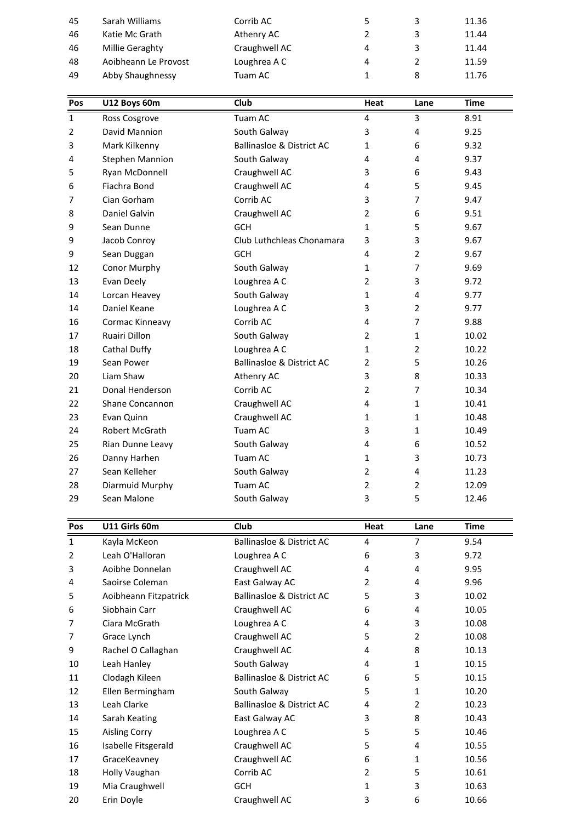| 3<br>45<br>Sarah Williams<br>Corrib AC<br>5<br>11.36<br>3<br>46<br>Katie Mc Grath<br>Athenry AC<br>2<br>11.44<br>Craughwell AC<br>3<br>46<br>Millie Geraghty<br>4<br>11.44<br>Loughrea A C<br>Aoibheann Le Provost<br>48<br>2<br>4<br>11.59<br>8<br>49<br>Abby Shaughnessy<br>1<br>Tuam AC<br>11.76<br>Club<br>U12 Boys 60m<br>Pos<br>Time<br>Heat<br>Lane |  | 1 | Ross Cosgrove | Tuam AC | 4 | 3 | 8.91 |  |
|------------------------------------------------------------------------------------------------------------------------------------------------------------------------------------------------------------------------------------------------------------------------------------------------------------------------------------------------------------|--|---|---------------|---------|---|---|------|--|
|                                                                                                                                                                                                                                                                                                                                                            |  |   |               |         |   |   |      |  |
|                                                                                                                                                                                                                                                                                                                                                            |  |   |               |         |   |   |      |  |
|                                                                                                                                                                                                                                                                                                                                                            |  |   |               |         |   |   |      |  |
|                                                                                                                                                                                                                                                                                                                                                            |  |   |               |         |   |   |      |  |
|                                                                                                                                                                                                                                                                                                                                                            |  |   |               |         |   |   |      |  |
|                                                                                                                                                                                                                                                                                                                                                            |  |   |               |         |   |   |      |  |
|                                                                                                                                                                                                                                                                                                                                                            |  |   |               |         |   |   |      |  |
|                                                                                                                                                                                                                                                                                                                                                            |  |   |               |         |   |   |      |  |
|                                                                                                                                                                                                                                                                                                                                                            |  |   |               |         |   |   |      |  |

| 48             | Aoibheann Le Provost   | Loughrea A C                         | 4              | $\overline{2}$ | 11.59       |
|----------------|------------------------|--------------------------------------|----------------|----------------|-------------|
| 49             | Abby Shaughnessy       | Tuam AC                              | $\mathbf{1}$   | 8              | 11.76       |
|                |                        |                                      |                |                |             |
| Pos            | U12 Boys 60m           | <b>Club</b>                          | Heat           | Lane           | <b>Time</b> |
| 1              | Ross Cosgrove          | Tuam AC                              | 4              | 3              | 8.91        |
| $\overline{2}$ | David Mannion          | South Galway                         | 3              | 4              | 9.25        |
| 3              | Mark Kilkenny          | <b>Ballinasloe &amp; District AC</b> | $\mathbf{1}$   | 6              | 9.32        |
| 4              | <b>Stephen Mannion</b> | South Galway                         | 4              | 4              | 9.37        |
| 5              | Ryan McDonnell         | Craughwell AC                        | 3              | 6              | 9.43        |
| 6              | Fiachra Bond           | Craughwell AC                        | 4              | 5              | 9.45        |
| 7              | Cian Gorham            | Corrib AC                            | 3              | 7              | 9.47        |
| 8              | Daniel Galvin          | Craughwell AC                        | $\overline{2}$ | 6              | 9.51        |
| 9              | Sean Dunne             | <b>GCH</b>                           | 1              | 5              | 9.67        |
| 9              | Jacob Conroy           | Club Luthchleas Chonamara            | 3              | 3              | 9.67        |
| 9              | Sean Duggan            | GCH                                  | 4              | $\overline{2}$ | 9.67        |
| 12             | Conor Murphy           | South Galway                         | 1              | 7              | 9.69        |
| 13             | Evan Deely             | Loughrea A C                         | $\overline{2}$ | 3              | 9.72        |
| 14             | Lorcan Heavey          | South Galway                         | 1              | 4              | 9.77        |
| 14             | Daniel Keane           | Loughrea A C                         | 3              | $\overline{2}$ | 9.77        |
| 16             | Cormac Kinneavy        | Corrib AC                            | 4              | $\overline{7}$ | 9.88        |
| 17             | Ruairi Dillon          | South Galway                         | $\overline{2}$ | $\mathbf{1}$   | 10.02       |
| 18             | Cathal Duffy           | Loughrea A C                         | $\mathbf{1}$   | $\overline{2}$ | 10.22       |
| 19             | Sean Power             | <b>Ballinasloe &amp; District AC</b> | $\overline{2}$ | 5              | 10.26       |
| 20             | Liam Shaw              | Athenry AC                           | 3              | 8              | 10.33       |
| 21             | Donal Henderson        | Corrib AC                            | $\overline{2}$ | 7              | 10.34       |
| 22             | Shane Concannon        | Craughwell AC                        | 4              | $\mathbf{1}$   | 10.41       |
| 23             | Evan Quinn             | Craughwell AC                        | 1              | 1              | 10.48       |
| 24             | Robert McGrath         | Tuam AC                              | 3              | 1              | 10.49       |
| 25             | Rian Dunne Leavy       | South Galway                         | 4              | 6              | 10.52       |
| 26             | Danny Harhen           | Tuam AC                              | $\mathbf{1}$   | 3              | 10.73       |
| 27             | Sean Kelleher          | South Galway                         | $\overline{2}$ | 4              | 11.23       |
| 28             | Diarmuid Murphy        | Tuam AC                              | $\overline{2}$ | $\overline{2}$ | 12.09       |
| 29             | Sean Malone            | South Galway                         | 3              | 5              | 12.46       |
|                |                        |                                      |                |                |             |
| Pos            | U11 Girls 60m          | Club                                 | Heat           | Lane           | <b>Time</b> |
| 1              | Kavla McKeon           | Ballinasloe & District AC            | 4              | 7              | 9.54        |

| 28             | Diarmuid Murphy       | Tuam AC                              | $\overline{2}$ | $\overline{2}$ | 12.09       |
|----------------|-----------------------|--------------------------------------|----------------|----------------|-------------|
| 29             | Sean Malone           | South Galway                         | 3              | 5              | 12.46       |
|                |                       |                                      |                |                |             |
| Pos            | U11 Girls 60m         | Club                                 | Heat           | Lane           | <b>Time</b> |
| $\mathbf{1}$   | Kayla McKeon          | <b>Ballinasloe &amp; District AC</b> | 4              | 7              | 9.54        |
| $\overline{2}$ | Leah O'Halloran       | Loughrea A C                         | 6              | 3              | 9.72        |
| 3              | Aoibhe Donnelan       | Craughwell AC                        | 4              | 4              | 9.95        |
| 4              | Saoirse Coleman       | East Galway AC                       | 2              | 4              | 9.96        |
| 5              | Aoibheann Fitzpatrick | <b>Ballinasloe &amp; District AC</b> | 5              | 3              | 10.02       |
| 6              | Siobhain Carr         | Craughwell AC                        | 6              | 4              | 10.05       |
| 7              | Ciara McGrath         | Loughrea A C                         | 4              | 3              | 10.08       |
| 7              | Grace Lynch           | Craughwell AC                        | 5              | 2              | 10.08       |
| 9              | Rachel O Callaghan    | Craughwell AC                        | 4              | 8              | 10.13       |
| 10             | Leah Hanley           | South Galway                         | 4              | 1              | 10.15       |
| 11             | Clodagh Kileen        | <b>Ballinasloe &amp; District AC</b> | 6              | 5              | 10.15       |
| 12             | Ellen Bermingham      | South Galway                         | 5              | $\mathbf{1}$   | 10.20       |
| 13             | Leah Clarke           | <b>Ballinasloe &amp; District AC</b> | 4              | $\overline{2}$ | 10.23       |
| 14             | Sarah Keating         | East Galway AC                       | 3              | 8              | 10.43       |
| 15             | <b>Aisling Corry</b>  | Loughrea A C                         | 5              | 5              | 10.46       |
| 16             | Isabelle Fitsgerald   | Craughwell AC                        | 5              | 4              | 10.55       |
| 17             | GraceKeavney          | Craughwell AC                        | 6              | 1              | 10.56       |
| 18             | Holly Vaughan         | Corrib AC                            | 2              | 5              | 10.61       |
| 19             | Mia Craughwell        | <b>GCH</b>                           | 1              | 3              | 10.63       |
| 20             | Erin Doyle            | Craughwell AC                        | 3              | 6              | 10.66       |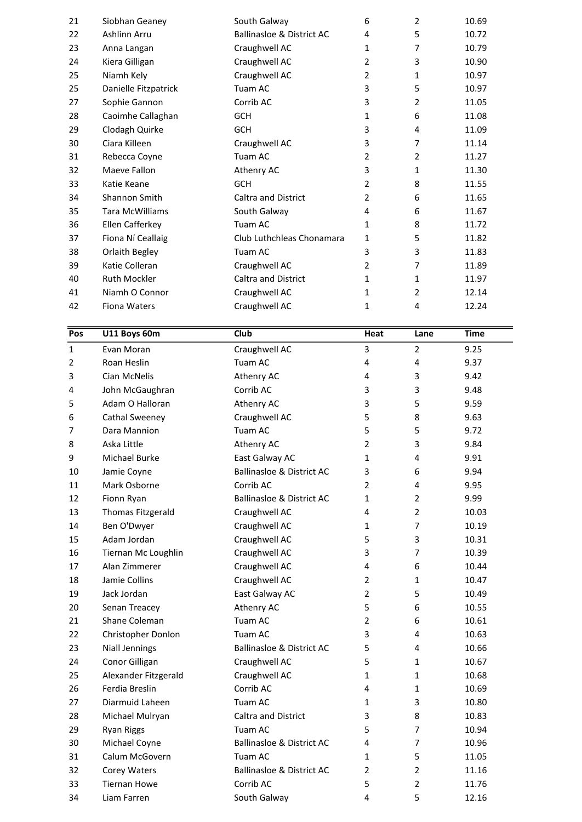| Pos |                        |                                      |                |                |             |
|-----|------------------------|--------------------------------------|----------------|----------------|-------------|
|     | U11 Boys 60m           | Club                                 | Heat           | Lane           | <b>Time</b> |
|     |                        |                                      |                |                |             |
| 42  | Fiona Waters           | Craughwell AC                        | 1              | 4              | 12.24       |
| 41  | Niamh O Connor         | Craughwell AC                        | $\mathbf{1}$   | $\overline{2}$ | 12.14       |
| 40  | Ruth Mockler           | <b>Caltra and District</b>           | 1              | 1              | 11.97       |
| 39  | Katie Colleran         | Craughwell AC                        | $\overline{2}$ | 7              | 11.89       |
| 38  | Orlaith Begley         | Tuam AC                              | 3              | 3              | 11.83       |
| 37  | Fiona Ní Ceallaig      | Club Luthchleas Chonamara            | $\mathbf{1}$   | 5              | 11.82       |
| 36  | Ellen Cafferkey        | Tuam AC                              | 1              | 8              | 11.72       |
| 35  | <b>Tara McWilliams</b> | South Galway                         | 4              | 6              | 11.67       |
| 34  | Shannon Smith          | <b>Caltra and District</b>           | 2              | 6              | 11.65       |
| 33  | Katie Keane            | <b>GCH</b>                           | $\overline{2}$ | 8              | 11.55       |
| 32  | Maeve Fallon           | Athenry AC                           | 3              | 1              | 11.30       |
| 31  | Rebecca Coyne          | Tuam AC                              | 2              | 2              | 11.27       |
| 30  | Ciara Killeen          | Craughwell AC                        | 3              | 7              | 11.14       |
| 29  | Clodagh Quirke         | GCH                                  | 3              | 4              | 11.09       |
| 28  | Caoimhe Callaghan      | GCH                                  | $\mathbf{1}$   | 6              | 11.08       |
| 27  | Sophie Gannon          | Corrib AC                            | 3              | 2              | 11.05       |
| 25  | Danielle Fitzpatrick   | Tuam AC                              | 3              | 5              | 10.97       |
| 25  | Niamh Kely             | Craughwell AC                        | $\overline{2}$ | 1              | 10.97       |
| 24  | Kiera Gilligan         | Craughwell AC                        | $\overline{2}$ | 3              | 10.90       |
| 23  | Anna Langan            | Craughwell AC                        | $\mathbf{1}$   | 7              | 10.79       |
| 22  | Ashlinn Arru           | <b>Ballinasloe &amp; District AC</b> | 4              | 5              | 10.72       |
| 21  | Siobhan Geaney         | South Galway                         | 6              | $\overline{2}$ | 10.69       |

| 41             | Niamh O Connor        | Craughwell AC                        | $\mathbf{1}$   | $\overline{2}$ | 12.14       |
|----------------|-----------------------|--------------------------------------|----------------|----------------|-------------|
| 42             | Fiona Waters          | Craughwell AC                        | $\mathbf{1}$   | 4              | 12.24       |
|                |                       |                                      |                |                |             |
| Pos            | U11 Boys 60m          | Club                                 | Heat           | Lane           | <b>Time</b> |
| $\mathbf{1}$   | Evan Moran            | Craughwell AC                        | 3              | $\overline{2}$ | 9.25        |
| $\overline{2}$ | Roan Heslin           | Tuam AC                              | 4              | 4              | 9.37        |
| 3              | Cian McNelis          | Athenry AC                           | 4              | 3              | 9.42        |
| 4              | John McGaughran       | Corrib AC                            | 3              | 3              | 9.48        |
| 5              | Adam O Halloran       | Athenry AC                           | 3              | 5              | 9.59        |
| 6              | Cathal Sweeney        | Craughwell AC                        | 5              | 8              | 9.63        |
| 7              | Dara Mannion          | Tuam AC                              | 5              | 5              | 9.72        |
| 8              | Aska Little           | Athenry AC                           | $\overline{2}$ | 3              | 9.84        |
| 9              | Michael Burke         | East Galway AC                       | $\mathbf{1}$   | 4              | 9.91        |
| 10             | Jamie Coyne           | <b>Ballinasloe &amp; District AC</b> | 3              | 6              | 9.94        |
| 11             | Mark Osborne          | Corrib AC                            | $\overline{2}$ | 4              | 9.95        |
| 12             | Fionn Ryan            | <b>Ballinasloe &amp; District AC</b> | $\mathbf{1}$   | $\overline{2}$ | 9.99        |
| 13             | Thomas Fitzgerald     | Craughwell AC                        | 4              | $\overline{2}$ | 10.03       |
| 14             | Ben O'Dwyer           | Craughwell AC                        | 1              | 7              | 10.19       |
| 15             | Adam Jordan           | Craughwell AC                        | 5              | 3              | 10.31       |
| 16             | Tiernan Mc Loughlin   | Craughwell AC                        | 3              | 7              | 10.39       |
| 17             | Alan Zimmerer         | Craughwell AC                        | 4              | 6              | 10.44       |
| 18             | Jamie Collins         | Craughwell AC                        | 2              | 1              | 10.47       |
| 19             | Jack Jordan           | East Galway AC                       | $\overline{2}$ | 5              | 10.49       |
| 20             | Senan Treacey         | Athenry AC                           | 5              | 6              | 10.55       |
| 21             | Shane Coleman         | Tuam AC                              | $\overline{2}$ | 6              | 10.61       |
| 22             | Christopher Donlon    | Tuam AC                              | 3              | 4              | 10.63       |
| 23             | <b>Niall Jennings</b> | <b>Ballinasloe &amp; District AC</b> | 5              | 4              | 10.66       |
| 24             | Conor Gilligan        | Craughwell AC                        | 5              | 1              | 10.67       |
| 25             | Alexander Fitzgerald  | Craughwell AC                        | $\mathbf{1}$   | $\mathbf{1}$   | 10.68       |
| 26             | Ferdia Breslin        | Corrib AC                            | 4              | 1              | 10.69       |
| 27             | Diarmuid Laheen       | Tuam AC                              | 1              | 3              | 10.80       |
| 28             | Michael Mulryan       | <b>Caltra and District</b>           | 3              | 8              | 10.83       |
| 29             | Ryan Riggs            | Tuam AC                              | 5              | 7              | 10.94       |
| 30             | Michael Coyne         | <b>Ballinasloe &amp; District AC</b> | 4              | 7              | 10.96       |
| 31             | Calum McGovern        | Tuam AC                              | 1              | 5              | 11.05       |
| 32             | Corey Waters          | <b>Ballinasloe &amp; District AC</b> | $\overline{2}$ | $\overline{2}$ | 11.16       |
| 33             | <b>Tiernan Howe</b>   | Corrib AC                            | 5              | $\overline{2}$ | 11.76       |
| 34             | Liam Farren           | South Galway                         | 4              | 5              | 12.16       |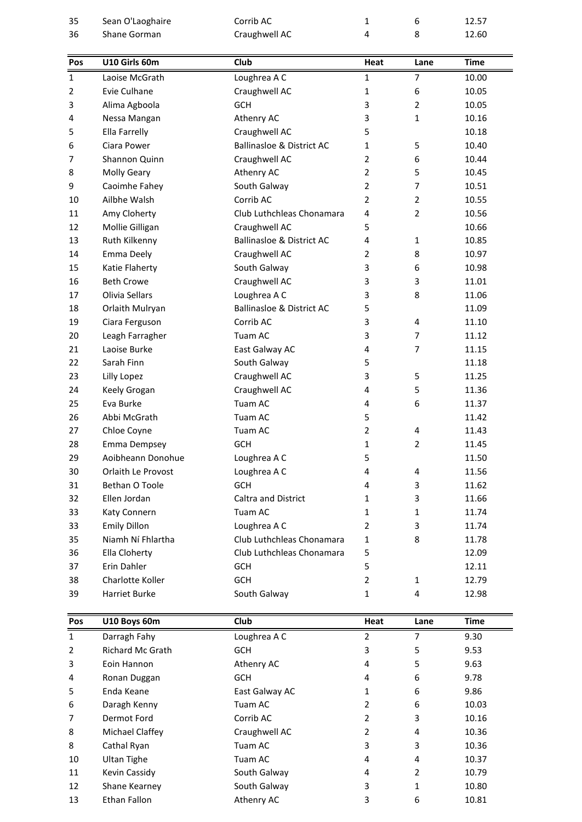| $\mathbf{1}$ |                     |                                      |                |                |             |
|--------------|---------------------|--------------------------------------|----------------|----------------|-------------|
|              | Darragh Fahy        | Loughrea A C                         | 2              | 7              | 9.30        |
| Pos          | U10 Boys 60m        | <b>Club</b>                          | Heat           | Lane           | <b>Time</b> |
|              |                     |                                      |                |                |             |
| 39           | Harriet Burke       | South Galway                         | $\mathbf{1}$   | 4              | 12.98       |
| 38           | Charlotte Koller    | <b>GCH</b>                           | $\overline{2}$ | $\mathbf{1}$   | 12.79       |
| 37           | Erin Dahler         | GCH                                  | 5              |                | 12.11       |
| 36           | Ella Cloherty       | Club Luthchleas Chonamara            | 5              |                | 12.09       |
| 35           | Niamh Ní Fhlartha   | Club Luthchleas Chonamara            | 1              | 8              | 11.78       |
| 33           | <b>Emily Dillon</b> | Loughrea A C                         | $\overline{2}$ | 3              | 11.74       |
| 33           | Katy Connern        | Tuam AC                              | 1              | 1              | 11.74       |
| 32           | Ellen Jordan        | <b>Caltra and District</b>           | 1              | 3              | 11.66       |
| 31           | Bethan O Toole      | <b>GCH</b>                           | 4              | 3              | 11.62       |
| 30           | Orlaith Le Provost  | Loughrea A C                         | 4              | 4              | 11.56       |
| 29           | Aoibheann Donohue   | Loughrea A C                         | 5              |                | 11.50       |
| 28           | Emma Dempsey        | GCH                                  | 1              | $\overline{2}$ | 11.45       |
| 27           | Chloe Coyne         | Tuam AC                              | $\overline{2}$ | 4              | 11.43       |
| 26           | Abbi McGrath        | Tuam AC                              | 5              |                | 11.42       |
| 25           | Eva Burke           | Tuam AC                              | 4              | 6              | 11.37       |
| 24           | Keely Grogan        | Craughwell AC                        | 4              | 5              | 11.36       |
| 23           | Lilly Lopez         | Craughwell AC                        | 3              | 5              | 11.25       |
| 22           | Sarah Finn          | South Galway                         | 5              |                | 11.18       |
| 21           | Laoise Burke        | East Galway AC                       | 4              | 7              | 11.15       |
| 20           | Leagh Farragher     | Tuam AC                              | 3              | $\overline{7}$ | 11.12       |
| 19           | Ciara Ferguson      | Corrib AC                            | 3              | 4              | 11.10       |
| 18           | Orlaith Mulryan     | <b>Ballinasloe &amp; District AC</b> | 5              |                | 11.09       |
| 17           | Olivia Sellars      | Loughrea A C                         | 3              | 8              | 11.06       |
| 16           | <b>Beth Crowe</b>   | Craughwell AC                        | 3              | 3              | 11.01       |
| 15           | Katie Flaherty      | South Galway                         | 3              | 6              | 10.98       |
| 14           | <b>Emma Deely</b>   | Craughwell AC                        | 2              | 8              | 10.97       |
| 13           | Ruth Kilkenny       | <b>Ballinasloe &amp; District AC</b> | 4              | $\mathbf{1}$   | 10.85       |
| 12           | Mollie Gilligan     | Craughwell AC                        | 5              |                | 10.66       |
| 11           | Amy Cloherty        | Club Luthchleas Chonamara            | 4              | $\overline{2}$ | 10.56       |
| 10           | Ailbhe Walsh        | Corrib AC                            | $\overline{2}$ | $\overline{2}$ | 10.55       |
| 9            | Caoimhe Fahey       | South Galway                         | $\overline{2}$ | $\overline{7}$ | 10.51       |
| 8            | <b>Molly Geary</b>  | Athenry AC                           | $\overline{2}$ | 5              | 10.45       |
| 7            | Shannon Quinn       | Craughwell AC                        | 2              | 6              | 10.44       |
| 6            | Ciara Power         | <b>Ballinasloe &amp; District AC</b> | $\mathbf{1}$   | 5              | 10.40       |
| 5            | Ella Farrelly       | Craughwell AC                        | 5              |                | 10.18       |
| 4            | Nessa Mangan        | Athenry AC                           | 3              | $\mathbf{1}$   | 10.16       |
| 3            | Alima Agboola       | <b>GCH</b>                           | 3              | $\overline{2}$ | 10.05       |
| 2            | Evie Culhane        | Craughwell AC                        | 1              | 6              | 10.05       |
| $\mathbf{1}$ | Laoise McGrath      | Loughrea A C                         | 1              | 7              | 10.00       |
| Pos          | U10 Girls 60m       | Club                                 | Heat           | Lane           | <b>Time</b> |
|              |                     |                                      |                |                |             |
| 36           | Shane Gorman        | Craughwell AC                        | 4              | 8              | 12.60       |
|              | Sean O'Laoghaire    | Corrib AC                            | $\mathbf{1}$   | 6              | 12.57       |
| 35           |                     |                                      |                |                |             |

| 39             | Harriet Burke           | South Galway   | 1    | 4    | 12.98       |
|----------------|-------------------------|----------------|------|------|-------------|
| Pos            | U10 Boys 60m            | <b>Club</b>    | Heat | Lane | <b>Time</b> |
| 1              | Darragh Fahy            | Loughrea A C   | 2    | 7    | 9.30        |
| $\overline{2}$ | <b>Richard Mc Grath</b> | <b>GCH</b>     | 3    | 5    | 9.53        |
| 3              | Eoin Hannon             | Athenry AC     | 4    | 5    | 9.63        |
| 4              | Ronan Duggan            | <b>GCH</b>     | 4    | 6    | 9.78        |
| 5              | Enda Keane              | East Galway AC | 1    | 6    | 9.86        |
| 6              | Daragh Kenny            | Tuam AC        | 2    | 6    | 10.03       |
| 7              | Dermot Ford             | Corrib AC      | 2    | 3    | 10.16       |
| 8              | Michael Claffey         | Craughwell AC  | 2    | 4    | 10.36       |
| 8              | Cathal Ryan             | Tuam AC        | 3    | 3    | 10.36       |
| 10             | Ultan Tighe             | Tuam AC        | 4    | 4    | 10.37       |
| 11             | Kevin Cassidy           | South Galway   | 4    | 2    | 10.79       |
| 12             | Shane Kearney           | South Galway   | 3    | 1    | 10.80       |
| 13             | Ethan Fallon            | Athenry AC     | 3    | 6    | 10.81       |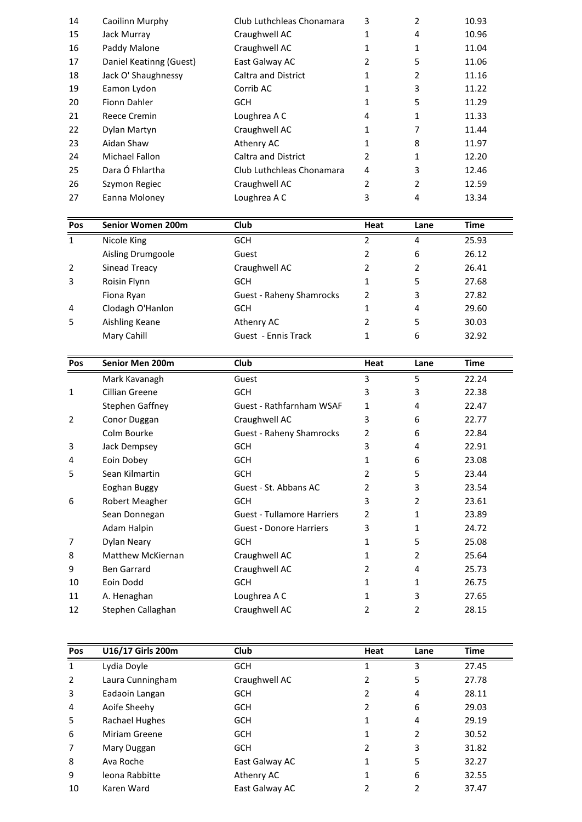| Paddy Malone<br>16<br>Craughwell AC<br>11.04<br>1<br>1<br>Daniel Keatinng (Guest)<br>East Galway AC<br>5<br>$\overline{2}$<br>11.06<br>17<br>Jack O' Shaughnessy<br>Caltra and District<br>2<br>11.16<br>18<br>1<br>19<br>Eamon Lydon<br>Corrib AC<br>3<br>11.22<br>1<br>Fionn Dahler<br>20<br><b>GCH</b><br>5<br>11.29<br>1<br>Loughrea A C<br>21<br>Reece Cremin<br>11.33<br>$\mathbf{1}$<br>4<br>22<br>Dylan Martyn<br>Craughwell AC<br>7<br>1<br>11.44<br>Aidan Shaw<br>8<br>23<br>Athenry AC<br>11.97<br>1<br>24<br><b>Michael Fallon</b><br><b>Caltra and District</b><br>12.20<br>2<br>$\mathbf{1}$<br>Dara Ó Fhlartha<br>25<br>Club Luthchleas Chonamara<br>3<br>12.46<br>4<br>26<br>2<br>2<br>12.59<br>Szymon Regiec<br>Craughwell AC<br>27<br>Eanna Moloney<br>Loughrea A C<br>3<br>4<br>13.34<br>Pos<br>Senior Women 200m<br><b>Club</b><br><b>Time</b><br>Heat<br>Lane |  |
|------------------------------------------------------------------------------------------------------------------------------------------------------------------------------------------------------------------------------------------------------------------------------------------------------------------------------------------------------------------------------------------------------------------------------------------------------------------------------------------------------------------------------------------------------------------------------------------------------------------------------------------------------------------------------------------------------------------------------------------------------------------------------------------------------------------------------------------------------------------------------------|--|
|                                                                                                                                                                                                                                                                                                                                                                                                                                                                                                                                                                                                                                                                                                                                                                                                                                                                                    |  |
|                                                                                                                                                                                                                                                                                                                                                                                                                                                                                                                                                                                                                                                                                                                                                                                                                                                                                    |  |
|                                                                                                                                                                                                                                                                                                                                                                                                                                                                                                                                                                                                                                                                                                                                                                                                                                                                                    |  |
|                                                                                                                                                                                                                                                                                                                                                                                                                                                                                                                                                                                                                                                                                                                                                                                                                                                                                    |  |
|                                                                                                                                                                                                                                                                                                                                                                                                                                                                                                                                                                                                                                                                                                                                                                                                                                                                                    |  |
|                                                                                                                                                                                                                                                                                                                                                                                                                                                                                                                                                                                                                                                                                                                                                                                                                                                                                    |  |
|                                                                                                                                                                                                                                                                                                                                                                                                                                                                                                                                                                                                                                                                                                                                                                                                                                                                                    |  |
|                                                                                                                                                                                                                                                                                                                                                                                                                                                                                                                                                                                                                                                                                                                                                                                                                                                                                    |  |
|                                                                                                                                                                                                                                                                                                                                                                                                                                                                                                                                                                                                                                                                                                                                                                                                                                                                                    |  |
|                                                                                                                                                                                                                                                                                                                                                                                                                                                                                                                                                                                                                                                                                                                                                                                                                                                                                    |  |
|                                                                                                                                                                                                                                                                                                                                                                                                                                                                                                                                                                                                                                                                                                                                                                                                                                                                                    |  |
|                                                                                                                                                                                                                                                                                                                                                                                                                                                                                                                                                                                                                                                                                                                                                                                                                                                                                    |  |
|                                                                                                                                                                                                                                                                                                                                                                                                                                                                                                                                                                                                                                                                                                                                                                                                                                                                                    |  |
|                                                                                                                                                                                                                                                                                                                                                                                                                                                                                                                                                                                                                                                                                                                                                                                                                                                                                    |  |
| Jack Murray<br>Craughwell AC<br>10.96<br>15<br>1<br>4                                                                                                                                                                                                                                                                                                                                                                                                                                                                                                                                                                                                                                                                                                                                                                                                                              |  |
| 14<br>Club Luthchleas Chonamara<br>3<br>2<br>Caoilinn Murphy<br>10.93                                                                                                                                                                                                                                                                                                                                                                                                                                                                                                                                                                                                                                                                                                                                                                                                              |  |

| 26             | Szymon Regiec            | Craughwell AC                   | $\overline{2}$ | $\overline{2}$ | 12.59       |
|----------------|--------------------------|---------------------------------|----------------|----------------|-------------|
| 27             | Eanna Moloney            | Loughrea A C                    | 3              | 4              | 13.34       |
| Pos            | <b>Senior Women 200m</b> | Club                            | Heat           | Lane           | <b>Time</b> |
| $\mathbf{1}$   | Nicole King              | <b>GCH</b>                      | 2              | 4              | 25.93       |
|                | Aisling Drumgoole        | Guest                           | 2              | 6              | 26.12       |
| $\overline{2}$ | Sinead Treacy            | Craughwell AC                   | 2              | 2              | 26.41       |
| 3              | Roisin Flynn             | <b>GCH</b>                      |                | 5              | 27.68       |
|                | Fiona Ryan               | <b>Guest - Raheny Shamrocks</b> | 2              | 3              | 27.82       |
| 4              | Clodagh O'Hanlon         | <b>GCH</b>                      |                | 4              | 29.60       |
| 5              | Aishling Keane           | Athenry AC                      | 2              | 5              | 30.03       |
|                | Mary Cahill              | Guest - Ennis Track             | 1              | 6              | 32.92       |
| <b>Pos</b>     | Senior Men 200m          | <b>Club</b>                     | Heat           | Lane           | <b>Time</b> |
|                | Mark Kavanagh            | Guest                           | 3              | 5              | 22.24       |

| 5              | Aishling Keane         | Athenry AC                        | $\overline{2}$ | 5              | 30.03       |
|----------------|------------------------|-----------------------------------|----------------|----------------|-------------|
|                | Mary Cahill            | Guest - Ennis Track               | $\mathbf{1}$   | 6              | 32.92       |
|                |                        |                                   |                |                |             |
| Pos            | <b>Senior Men 200m</b> | <b>Club</b>                       | Heat           | Lane           | <b>Time</b> |
|                | Mark Kavanagh          | Guest                             | 3              | 5              | 22.24       |
| $\mathbf{1}$   | Cillian Greene         | <b>GCH</b>                        | 3              | 3              | 22.38       |
|                | Stephen Gaffney        | <b>Guest - Rathfarnham WSAF</b>   | 1              | 4              | 22.47       |
| $\overline{2}$ | Conor Duggan           | Craughwell AC                     | 3              | 6              | 22.77       |
|                | Colm Bourke            | <b>Guest - Raheny Shamrocks</b>   | $\overline{2}$ | 6              | 22.84       |
| 3              | Jack Dempsey           | <b>GCH</b>                        | 3              | 4              | 22.91       |
| 4              | Eoin Dobey             | <b>GCH</b>                        | 1              | 6              | 23.08       |
| 5              | Sean Kilmartin         | <b>GCH</b>                        | 2              | 5              | 23.44       |
|                | Eoghan Buggy           | Guest - St. Abbans AC             | 2              | 3              | 23.54       |
| 6              | Robert Meagher         | <b>GCH</b>                        | 3              | $\overline{2}$ | 23.61       |
|                | Sean Donnegan          | <b>Guest - Tullamore Harriers</b> | 2              | 1              | 23.89       |
|                | Adam Halpin            | <b>Guest - Donore Harriers</b>    | 3              | 1              | 24.72       |
| 7              | Dylan Neary            | <b>GCH</b>                        | $\mathbf{1}$   | 5              | 25.08       |
| 8              | Matthew McKiernan      | Craughwell AC                     | 1              | $\overline{2}$ | 25.64       |
| 9              | Ben Garrard            | Craughwell AC                     | 2              | 4              | 25.73       |
| 10             | Eoin Dodd              | <b>GCH</b>                        | 1              | 1              | 26.75       |
| 11             | A. Henaghan            | Loughrea A C                      | 1              | 3              | 27.65       |
| 12             | Stephen Callaghan      | Craughwell AC                     | $\overline{2}$ | 2              | 28.15       |
| Pos            | U16/17 Girls 200m      | Club                              | Heat           | Lane           | <b>Time</b> |
| $\mathbf{1}$   | Lydia Dovle            | <b>GCH</b>                        | 1              | 3              | 27.45       |

| 12             | Stephen Callaghan | Craughwell AC  | 2              | 2    | 28.15       |
|----------------|-------------------|----------------|----------------|------|-------------|
| Pos            | U16/17 Girls 200m | Club           | Heat           | Lane | <b>Time</b> |
|                |                   |                |                |      |             |
| $\mathbf{1}$   | Lydia Doyle       | <b>GCH</b>     |                | 3    | 27.45       |
| $\overline{2}$ | Laura Cunningham  | Craughwell AC  | 2              | 5    | 27.78       |
| 3              | Eadaoin Langan    | <b>GCH</b>     | 2              | 4    | 28.11       |
| 4              | Aoife Sheehy      | <b>GCH</b>     | 2              | 6    | 29.03       |
| 5              | Rachael Hughes    | <b>GCH</b>     | 1              | 4    | 29.19       |
| 6              | Miriam Greene     | <b>GCH</b>     | 1              | 2    | 30.52       |
| 7              | Mary Duggan       | <b>GCH</b>     | $\overline{2}$ | 3    | 31.82       |
| 8              | Ava Roche         | East Galway AC |                | 5    | 32.27       |
| 9              | leona Rabbitte    | Athenry AC     | $\mathbf{1}$   | 6    | 32.55       |
| 10             | Karen Ward        | East Galway AC | 2              | 2    | 37.47       |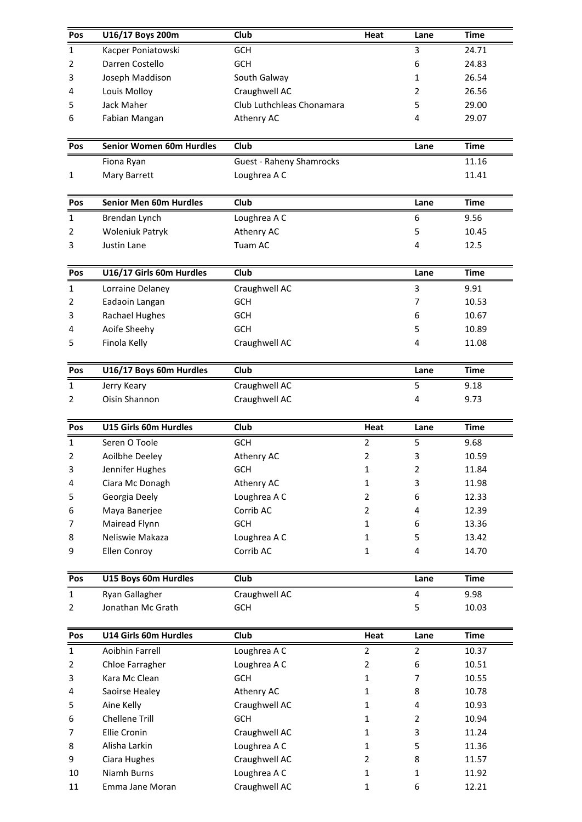| Pos            | U16/17 Boys 200m                | Club                            | Heat           | Lane           | <b>Time</b> |
|----------------|---------------------------------|---------------------------------|----------------|----------------|-------------|
| $\mathbf{1}$   | Kacper Poniatowski              | <b>GCH</b>                      |                | 3              | 24.71       |
| 2              | Darren Costello                 | GCH                             |                | 6              | 24.83       |
| 3              | Joseph Maddison                 | South Galway                    |                | 1              | 26.54       |
| 4              | Louis Molloy                    | Craughwell AC                   |                | 2              | 26.56       |
| 5              | Jack Maher                      | Club Luthchleas Chonamara       |                | 5              | 29.00       |
| 6              | Fabian Mangan                   | Athenry AC                      |                | 4              | 29.07       |
| Pos            | <b>Senior Women 60m Hurdles</b> | Club                            |                | Lane           | <b>Time</b> |
|                | Fiona Ryan                      | <b>Guest - Raheny Shamrocks</b> |                |                | 11.16       |
| 1              | Mary Barrett                    | Loughrea A C                    |                |                | 11.41       |
| Pos            | <b>Senior Men 60m Hurdles</b>   | Club                            |                | Lane           | <b>Time</b> |
| $\mathbf{1}$   | Brendan Lynch                   | Loughrea A C                    |                | 6              | 9.56        |
| 2              | <b>Woleniuk Patryk</b>          | Athenry AC                      |                | 5              | 10.45       |
| 3              | Justin Lane                     | Tuam AC                         |                | 4              | 12.5        |
| Pos            | U16/17 Girls 60m Hurdles        | Club                            |                | Lane           | <b>Time</b> |
| $\mathbf{1}$   | Lorraine Delaney                | Craughwell AC                   |                | 3              | 9.91        |
| 2              | Eadaoin Langan                  | <b>GCH</b>                      |                | 7              | 10.53       |
| 3              | <b>Rachael Hughes</b>           | <b>GCH</b>                      |                | 6              | 10.67       |
| 4              | Aoife Sheehy                    | <b>GCH</b>                      |                | 5              | 10.89       |
| 5              | Finola Kelly                    | Craughwell AC                   |                | 4              | 11.08       |
| Pos            | U16/17 Boys 60m Hurdles         | <b>Club</b>                     |                | Lane           | <b>Time</b> |
| $\mathbf{1}$   | Jerry Keary                     | Craughwell AC                   |                | 5              | 9.18        |
| 2              | Oisin Shannon                   | Craughwell AC                   |                | 4              | 9.73        |
| Pos            | U15 Girls 60m Hurdles           | <b>Club</b>                     | Heat           | Lane           | <b>Time</b> |
| $\mathbf{1}$   | Seren O Toole                   | <b>GCH</b>                      | $\overline{2}$ | 5              | 9.68        |
| $\overline{2}$ | Aoilbhe Deeley                  | Athenry AC                      | $\overline{2}$ | 3              | 10.59       |
| 3              | Jennifer Hughes                 | <b>GCH</b>                      | $\mathbf{1}$   | $\overline{2}$ | 11.84       |
| 4              | Ciara Mc Donagh                 | Athenry AC                      | $\mathbf{1}$   | 3              | 11.98       |
| 5              | Georgia Deely                   | Loughrea A C                    | 2              | 6              | 12.33       |
| 6              | Maya Banerjee                   | Corrib AC                       | $\overline{2}$ | 4              | 12.39       |
| 7              | Mairead Flynn                   | <b>GCH</b>                      | 1              | 6              | 13.36       |
| 8              | Neliswie Makaza                 | Loughrea A C                    | 1              | 5              | 13.42       |
| 9              | Ellen Conroy                    | Corrib AC                       | $\mathbf{1}$   | 4              | 14.70       |
| Pos            | U15 Boys 60m Hurdles            | Club                            |                | Lane           | <b>Time</b> |
| $\mathbf{1}$   | Ryan Gallagher                  | Craughwell AC                   |                | 4              | 9.98        |
| 2              | Jonathan Mc Grath               | <b>GCH</b>                      |                | 5              | 10.03       |
| Pos            | U14 Girls 60m Hurdles           | Club                            | Heat           | Lane           | <b>Time</b> |
| $\mathbf{1}$   | Aoibhin Farrell                 | Loughrea A C                    | $\overline{2}$ | $\overline{2}$ | 10.37       |
| 2              | Chloe Farragher                 | Loughrea A C                    | $\overline{2}$ | 6              | 10.51       |
| 3              | Kara Mc Clean                   | <b>GCH</b>                      | $\mathbf{1}$   | 7              | 10.55       |
| 4              | Saoirse Healey                  | Athenry AC                      | 1              | 8              | 10.78       |
| 5              | Aine Kelly                      | Craughwell AC                   | $\mathbf{1}$   | 4              | 10.93       |
| 6              | Chellene Trill                  | <b>GCH</b>                      | 1              | $\overline{2}$ | 10.94       |
| 7              | Ellie Cronin                    | Craughwell AC                   | 1              | 3              | 11.24       |
| 8              | Alisha Larkin                   | Loughrea A C                    | $\mathbf{1}$   | 5              | 11.36       |
| 9              | Ciara Hughes                    | Craughwell AC                   | $\overline{2}$ | 8              | 11.57       |
| 10             | Niamh Burns                     | Loughrea A C                    | 1              | 1              | 11.92       |
| 11             | Emma Jane Moran                 | Craughwell AC                   | 1              | 6              | 12.21       |
|                |                                 |                                 |                |                |             |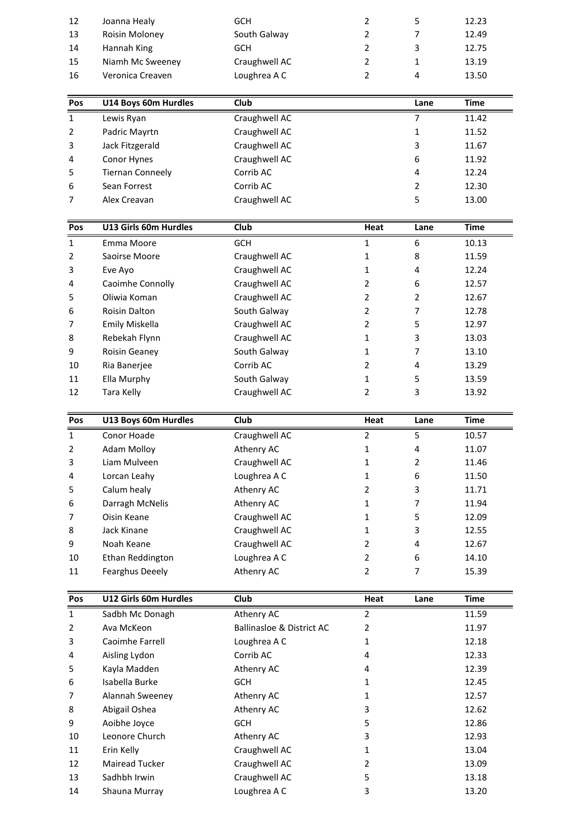| 5<br>12<br>2<br>Joanna Healy<br><b>GCH</b><br>12.23<br>7<br>13<br>South Galway<br>2<br>Roisin Moloney<br>12.49<br>3<br>Hannah King<br>$\overline{\phantom{a}}$<br>14<br>12.75<br><b>GCH</b><br>15<br>Niamh Mc Sweeney<br>Craughwell AC<br>$\overline{\phantom{a}}$<br>13.19<br>$\mathbf{1}$<br>16<br>Loughrea A C<br>2<br>Veronica Creaven<br>4<br>13.50<br>U14 Boys 60m Hurdles<br><b>Club</b><br>Pos<br>Time<br>Lane |  | 1 | ewis Rvan | Craughwell AC |  | 11.42 |  |
|------------------------------------------------------------------------------------------------------------------------------------------------------------------------------------------------------------------------------------------------------------------------------------------------------------------------------------------------------------------------------------------------------------------------|--|---|-----------|---------------|--|-------|--|
|                                                                                                                                                                                                                                                                                                                                                                                                                        |  |   |           |               |  |       |  |
|                                                                                                                                                                                                                                                                                                                                                                                                                        |  |   |           |               |  |       |  |
|                                                                                                                                                                                                                                                                                                                                                                                                                        |  |   |           |               |  |       |  |
|                                                                                                                                                                                                                                                                                                                                                                                                                        |  |   |           |               |  |       |  |
|                                                                                                                                                                                                                                                                                                                                                                                                                        |  |   |           |               |  |       |  |
|                                                                                                                                                                                                                                                                                                                                                                                                                        |  |   |           |               |  |       |  |
|                                                                                                                                                                                                                                                                                                                                                                                                                        |  |   |           |               |  |       |  |
|                                                                                                                                                                                                                                                                                                                                                                                                                        |  |   |           |               |  |       |  |
|                                                                                                                                                                                                                                                                                                                                                                                                                        |  |   |           |               |  |       |  |

| 15             | Niamh Mc Sweeney             | Craughwell AC | 2    | 1    | 13.19       |  |
|----------------|------------------------------|---------------|------|------|-------------|--|
| 16             | Veronica Creaven             | Loughrea A C  | 2    | 4    | 13.50       |  |
|                |                              |               |      |      |             |  |
| Pos            | U14 Boys 60m Hurdles         | Club          |      | Lane | <b>Time</b> |  |
| $\mathbf{1}$   | Lewis Ryan                   | Craughwell AC |      |      | 11.42       |  |
| $\overline{2}$ | Padric Mayrtn                | Craughwell AC |      | 1    | 11.52       |  |
| 3              | Jack Fitzgerald              | Craughwell AC |      | 3    | 11.67       |  |
| 4              | Conor Hynes                  | Craughwell AC |      | 6    | 11.92       |  |
| 5              | <b>Tiernan Conneely</b>      | Corrib AC     |      | 4    | 12.24       |  |
| 6              | Sean Forrest                 | Corrib AC     |      | 2    | 12.30       |  |
| 7              | Alex Creavan                 | Craughwell AC |      | 5    | 13.00       |  |
|                |                              |               |      |      |             |  |
| Pos            | <b>U13 Girls 60m Hurdles</b> | <b>Club</b>   | Heat | Lane | Time        |  |
|                | Emma Moore                   | <b>GCH</b>    |      | 6    | 10.13       |  |

| 6              | Sean Forrest          | Corrib AC     |      | 2    | 12.30       |
|----------------|-----------------------|---------------|------|------|-------------|
| 7              | Alex Creavan          | Craughwell AC |      | 5    | 13.00       |
|                |                       |               |      |      |             |
| Pos            | U13 Girls 60m Hurdles | Club          | Heat | Lane | <b>Time</b> |
| $\mathbf{1}$   | Emma Moore            | <b>GCH</b>    |      | 6    | 10.13       |
| $\overline{2}$ | Saoirse Moore         | Craughwell AC | 1    | 8    | 11.59       |
| 3              | Eve Ayo               | Craughwell AC | 1    | 4    | 12.24       |
| 4              | Caoimhe Connolly      | Craughwell AC | 2    | 6    | 12.57       |
| 5              | Oliwia Koman          | Craughwell AC | 2    | 2    | 12.67       |
| 6              | <b>Roisin Dalton</b>  | South Galway  | 2    | 7    | 12.78       |
| 7              | Emily Miskella        | Craughwell AC | 2    | 5    | 12.97       |
| 8              | Rebekah Flynn         | Craughwell AC | 1    | 3    | 13.03       |
| 9              | Roisin Geaney         | South Galway  | 1    | 7    | 13.10       |
| 10             | Ria Banerjee          | Corrib AC     | 2    | 4    | 13.29       |
| 11             | Ella Murphy           | South Galway  | 1    | 5    | 13.59       |
| 12             | Tara Kelly            | Craughwell AC | 2    | 3    | 13.92       |
|                |                       |               |      |      |             |
| Pos            | U13 Boys 60m Hurdles  | Club          | Heat | Lane | Time        |
| 1              | Conor Hoade           | Craughwell AC | 2    | 5    | 10.57       |

| 11             | Ella Murphy            | South Galway  | 1    | 5    | 13.59 |
|----------------|------------------------|---------------|------|------|-------|
| 12             | Tara Kelly             | Craughwell AC | 2    | 3    | 13.92 |
|                |                        |               |      |      |       |
| Pos            | U13 Boys 60m Hurdles   | Club          | Heat | Lane | Time  |
| $\mathbf{1}$   | Conor Hoade            | Craughwell AC | 2    | 5    | 10.57 |
| $\overline{2}$ | Adam Molloy            | Athenry AC    | 1    | 4    | 11.07 |
| 3              | Liam Mulveen           | Craughwell AC | 1    | 2    | 11.46 |
| 4              | Lorcan Leahy           | Loughrea A C  | 1    | 6    | 11.50 |
| 5              | Calum healy            | Athenry AC    | 2    | 3    | 11.71 |
| 6              | Darragh McNelis        | Athenry AC    | 1    | 7    | 11.94 |
| 7              | Oisin Keane            | Craughwell AC | 1    | 5    | 12.09 |
| 8              | Jack Kinane            | Craughwell AC | 1    | 3    | 12.55 |
| 9              | Noah Keane             | Craughwell AC | 2    | 4    | 12.67 |
| 10             | Ethan Reddington       | Loughrea A C  | 2    | 6    | 14.10 |
| 11             | <b>Fearghus Deeely</b> | Athenry AC    | 2    | 7    | 15.39 |
|                |                        |               |      |      |       |
| Pos            | U12 Girls 60m Hurdles  | Club          | Heat | Lane | Time  |
|                | Sadbh Mc Donagh        | Athenry AC    | 2    |      | 11.59 |

| 10  | Ethan Reddington       | Loughrea A C                         | 2    | 6    | 14.10 |  |
|-----|------------------------|--------------------------------------|------|------|-------|--|
| 11  | <b>Fearghus Deeely</b> | Athenry AC                           | 2    | 7    | 15.39 |  |
|     |                        |                                      |      |      |       |  |
| Pos | U12 Girls 60m Hurdles  | Club                                 | Heat | Lane | Time  |  |
| 1   | Sadbh Mc Donagh        | Athenry AC                           | 2    |      | 11.59 |  |
| 2   | Ava McKeon             | <b>Ballinasloe &amp; District AC</b> | 2    |      | 11.97 |  |
| 3   | Caoimhe Farrell        | Loughrea A C                         | 1    |      | 12.18 |  |
| 4   | Aisling Lydon          | Corrib AC                            | 4    |      | 12.33 |  |
| 5   | Kayla Madden           | Athenry AC                           | 4    |      | 12.39 |  |
| 6   | Isabella Burke         | <b>GCH</b>                           | 1    |      | 12.45 |  |
| 7   | Alannah Sweeney        | Athenry AC                           | 1    |      | 12.57 |  |
| 8   | Abigail Oshea          | Athenry AC                           | 3    |      | 12.62 |  |
| 9   | Aoibhe Joyce           | <b>GCH</b>                           | 5    |      | 12.86 |  |
| 10  | Leonore Church         | Athenry AC                           | 3    |      | 12.93 |  |
| 11  | Erin Kelly             | Craughwell AC                        | 1    |      | 13.04 |  |
| 12  | Mairead Tucker         | Craughwell AC                        | 2    |      | 13.09 |  |
| 13  | Sadhbh Irwin           | Craughwell AC                        | 5    |      | 13.18 |  |
| 14  | Shauna Murray          | Loughrea A C                         | 3    |      | 13.20 |  |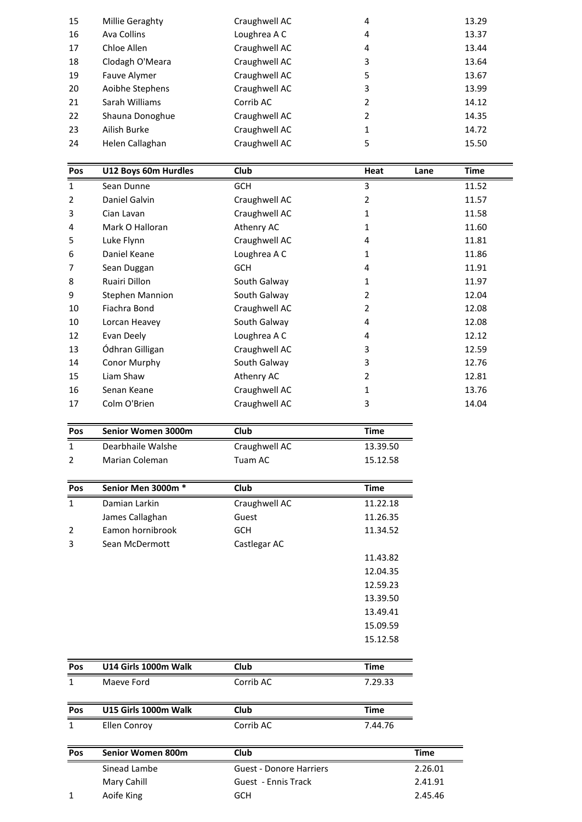| Pos |                      |               |                |              |
|-----|----------------------|---------------|----------------|--------------|
|     | U12 Boys 60m Hurdles | <b>Club</b>   | Heat           | Time<br>Lane |
|     |                      |               |                |              |
| 24  | Helen Callaghan      | Craughwell AC | 5              | 15.50        |
| 23  | Ailish Burke         | Craughwell AC | 1              | 14.72        |
| 22  | Shauna Donoghue      | Craughwell AC | $\overline{2}$ | 14.35        |
| 21  | Sarah Williams       | Corrib AC     | 2              | 14.12        |
| 20  | Aoibhe Stephens      | Craughwell AC | 3              | 13.99        |
| 19  | Fauve Alymer         | Craughwell AC | 5              | 13.67        |
| 18  | Clodagh O'Meara      | Craughwell AC | 3              | 13.64        |
| 17  | Chloe Allen          | Craughwell AC | 4              | 13.44        |
| 16  | Ava Collins          | Loughrea A C  | 4              | 13.37        |
| 15  | Millie Geraghty      | Craughwell AC | 4              | 13.29        |

| 23           | Ailish Burke           | Craughwell AC | 1              | 14.72               |
|--------------|------------------------|---------------|----------------|---------------------|
| 24           | Helen Callaghan        | Craughwell AC | 5              | 15.50               |
|              |                        |               |                |                     |
| Pos          | U12 Boys 60m Hurdles   | Club          | Heat           | <b>Time</b><br>Lane |
| $\mathbf{1}$ | Sean Dunne             | <b>GCH</b>    | 3              | 11.52               |
| 2            | Daniel Galvin          | Craughwell AC | 2              | 11.57               |
| 3            | Cian Lavan             | Craughwell AC | 1              | 11.58               |
| 4            | Mark O Halloran        | Athenry AC    | 1              | 11.60               |
| 5            | Luke Flynn             | Craughwell AC | 4              | 11.81               |
| 6            | Daniel Keane           | Loughrea A C  | 1              | 11.86               |
| 7            | Sean Duggan            | <b>GCH</b>    | 4              | 11.91               |
| 8            | Ruairi Dillon          | South Galway  | 1              | 11.97               |
| 9            | <b>Stephen Mannion</b> | South Galway  | 2              | 12.04               |
| 10           | Fiachra Bond           | Craughwell AC | $\overline{2}$ | 12.08               |
| 10           | Lorcan Heavey          | South Galway  | 4              | 12.08               |
| 12           | Evan Deely             | Loughrea A C  | 4              | 12.12               |
| 13           | Ódhran Gilligan        | Craughwell AC | 3              | 12.59               |
| 14           | Conor Murphy           | South Galway  | 3              | 12.76               |
| 15           | Liam Shaw              | Athenry AC    | 2              | 12.81               |
| 16           | Senan Keane            | Craughwell AC | 1              | 13.76               |
| 17           | Colm O'Brien           | Craughwell AC | 3              | 14.04               |
| Pos          | Senior Women 3000m     | Club          | <b>Time</b>    |                     |
| 1            | Dearbhaile Walshe      | Craughwell AC | 13.39.50       |                     |

| 16             | Senan Keane              | Craughwell AC                  | $\mathbf{1}$ | 13.7        |
|----------------|--------------------------|--------------------------------|--------------|-------------|
| 17             | Colm O'Brien             | Craughwell AC                  | 3            | 14.0        |
| Pos            | Senior Women 3000m       | Club                           | <b>Time</b>  |             |
| $\mathbf{1}$   | Dearbhaile Walshe        | Craughwell AC                  | 13.39.50     |             |
| $\overline{2}$ | <b>Marian Coleman</b>    | Tuam AC                        | 15.12.58     |             |
| Pos            | Senior Men 3000m *       | Club                           | <b>Time</b>  |             |
| $\mathbf{1}$   | Damian Larkin            | Craughwell AC                  | 11.22.18     |             |
|                | James Callaghan          | Guest                          | 11.26.35     |             |
| 2              | Eamon hornibrook         | GCH                            | 11.34.52     |             |
| 3              | Sean McDermott           | Castlegar AC                   |              |             |
|                |                          |                                | 11.43.82     |             |
|                |                          |                                | 12.04.35     |             |
|                |                          |                                | 12.59.23     |             |
|                |                          |                                | 13.39.50     |             |
|                |                          |                                | 13.49.41     |             |
|                |                          |                                | 15.09.59     |             |
|                |                          |                                | 15.12.58     |             |
| Pos            | U14 Girls 1000m Walk     | Club                           | <b>Time</b>  |             |
| $\mathbf{1}$   | Maeve Ford               | Corrib AC                      | 7.29.33      |             |
| Pos            | U15 Girls 1000m Walk     | Club                           | <b>Time</b>  |             |
| $\mathbf{1}$   | Ellen Conroy             | Corrib AC                      | 7.44.76      |             |
| Pos            | <b>Senior Women 800m</b> | Club                           |              | <b>Time</b> |
|                | Sinead Lambe             | <b>Guest - Donore Harriers</b> |              | 2.26.01     |

| Pos | U15 Girls 1000m Walk     | <b>Club</b>             | Time    |         |
|-----|--------------------------|-------------------------|---------|---------|
| 1   | Ellen Conroy             | Corrib AC               | 7.44.76 |         |
| Pos | <b>Senior Women 800m</b> | <b>Club</b>             |         | Time    |
|     | Sinead Lambe             | Guest - Donore Harriers |         | 2.26.01 |
|     | Mary Cahill              | Guest - Ennis Track     |         | 2.41.91 |
|     | Aoife King               | <b>GCH</b>              |         | 2.45.46 |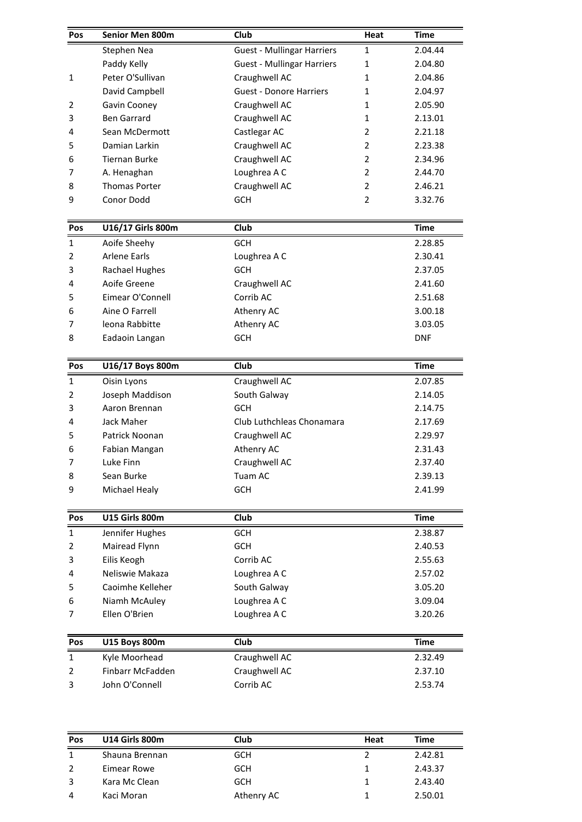| Pos          | Senior Men 800m       | Club                              | Heat           | <b>Time</b>        |
|--------------|-----------------------|-----------------------------------|----------------|--------------------|
|              | Stephen Nea           | <b>Guest - Mullingar Harriers</b> | 1              | 2.04.44            |
|              | Paddy Kelly           | <b>Guest - Mullingar Harriers</b> | 1              | 2.04.80            |
| $\mathbf{1}$ | Peter O'Sullivan      | Craughwell AC                     | 1              | 2.04.86            |
|              | David Campbell        | <b>Guest - Donore Harriers</b>    | 1              | 2.04.97            |
| 2            | Gavin Cooney          | Craughwell AC                     | 1              | 2.05.90            |
| 3            | <b>Ben Garrard</b>    | Craughwell AC                     | 1              | 2.13.01            |
| 4            | Sean McDermott        | Castlegar AC                      | 2              | 2.21.18            |
| 5            | Damian Larkin         | Craughwell AC                     | 2              | 2.23.38            |
| 6            | <b>Tiernan Burke</b>  | Craughwell AC                     | 2              | 2.34.96            |
| 7            | A. Henaghan           | Loughrea A C                      | $\overline{2}$ | 2.44.70            |
| 8            | <b>Thomas Porter</b>  | Craughwell AC                     | 2              | 2.46.21            |
| 9            | Conor Dodd            | <b>GCH</b>                        | 2              | 3.32.76            |
| Pos          | U16/17 Girls 800m     | Club                              |                | <b>Time</b>        |
| 1            | Aoife Sheehy          | <b>GCH</b>                        |                | 2.28.85            |
| 2            | <b>Arlene Earls</b>   | Loughrea A C                      |                | 2.30.41            |
| 3            | Rachael Hughes        | <b>GCH</b>                        |                | 2.37.05            |
| 4            | Aoife Greene          | Craughwell AC                     |                | 2.41.60            |
| 5            | Eimear O'Connell      | Corrib AC                         |                | 2.51.68            |
| 6            | Aine O Farrell        | Athenry AC                        |                | 3.00.18            |
| 7            | leona Rabbitte        | Athenry AC                        |                | 3.03.05            |
| 8            | Eadaoin Langan        | GCH                               |                | <b>DNF</b>         |
| Pos          | U16/17 Boys 800m      | Club                              |                | <b>Time</b>        |
| $\mathbf{1}$ | Oisin Lyons           | Craughwell AC                     |                | 2.07.85            |
| 2            | Joseph Maddison       | South Galway                      |                | 2.14.05            |
| 3            | Aaron Brennan         | <b>GCH</b>                        |                | 2.14.75            |
| 4            | Jack Maher            | Club Luthchleas Chonamara         |                | 2.17.69            |
| 5            | Patrick Noonan        | Craughwell AC                     |                | 2.29.97            |
| 6            | Fabian Mangan         | Athenry AC                        |                | 2.31.43            |
|              | Luke Finn             | Craughwell AC                     |                |                    |
| 7<br>8       | Sean Burke            | Tuam AC                           |                | 2.37.40<br>2.39.13 |
| 9            | Michael Healy         | GCH                               |                | 2.41.99            |
|              |                       |                                   |                |                    |
| Pos          | <b>U15 Girls 800m</b> | Club                              |                | <b>Time</b>        |
| $\mathbf{1}$ | Jennifer Hughes       | <b>GCH</b>                        |                | 2.38.87            |
| 2            | Mairead Flynn         | <b>GCH</b>                        |                | 2.40.53            |
| 3            | Eilis Keogh           | Corrib AC                         |                | 2.55.63            |
| 4            | Neliswie Makaza       | Loughrea A C                      |                | 2.57.02            |
| 5            | Caoimhe Kelleher      | South Galway                      |                | 3.05.20            |
| 6            | Niamh McAuley         | Loughrea A C                      |                | 3.09.04            |
| 7            | Ellen O'Brien         | Loughrea A C                      |                | 3.20.26            |
| Pos          | <b>U15 Boys 800m</b>  | Club                              |                | <b>Time</b>        |
| $\mathbf{1}$ | Kyle Moorhead         | Craughwell AC                     |                | 2.32.49            |
| 2            | Finbarr McFadden      | Craughwell AC                     |                | 2.37.10            |
| 3            | John O'Connell        | Corrib AC                         |                | 2.53.74            |
|              |                       |                                   |                |                    |
|              |                       |                                   |                |                    |
| Pos          | <b>U14 Girls 800m</b> | Club                              | Heat           | <b>Time</b>        |

| Pos            | <b>U14 Girls 800m</b> | Club       | Heat           | <b>Time</b> |  |
|----------------|-----------------------|------------|----------------|-------------|--|
| 1              | Shauna Brennan        | <b>GCH</b> | $\mathfrak{p}$ | 2.42.81     |  |
| $\overline{2}$ | Eimear Rowe           | <b>GCH</b> | 1              | 2.43.37     |  |
|                |                       |            |                |             |  |
| 3              | Kara Mc Clean         | <b>GCH</b> | 1              | 2.43.40     |  |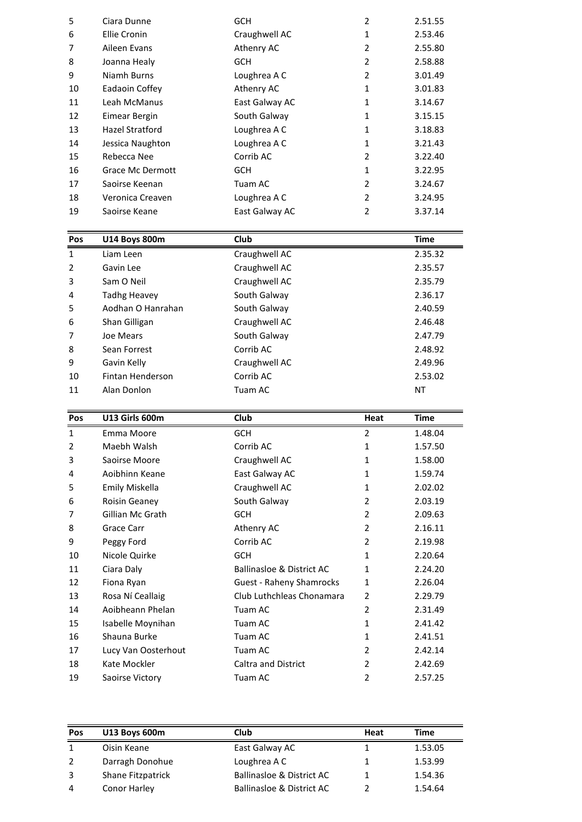| 1   | Liam Leen               | Craughwell AC  |                | 2.35.32     |
|-----|-------------------------|----------------|----------------|-------------|
| Pos | <b>U14 Boys 800m</b>    | <b>Club</b>    |                | <b>Time</b> |
|     |                         |                |                |             |
| 19  | Saoirse Keane           | East Galway AC | $\overline{2}$ | 3.37.14     |
| 18  | Veronica Creaven        | Loughrea A C   | 2              | 3.24.95     |
| 17  | Saoirse Keenan          | Tuam AC        | $\overline{2}$ | 3.24.67     |
| 16  | <b>Grace Mc Dermott</b> | <b>GCH</b>     | $\mathbf{1}$   | 3.22.95     |
| 15  | Rebecca Nee             | Corrib AC      | $\overline{2}$ | 3.22.40     |
| 14  | Jessica Naughton        | Loughrea A C   | $\mathbf{1}$   | 3.21.43     |
| 13  | Hazel Stratford         | Loughrea A C   | $\mathbf{1}$   | 3.18.83     |
| 12  | Eimear Bergin           | South Galway   | $\mathbf{1}$   | 3.15.15     |
| 11  | Leah McManus            | East Galway AC | $\mathbf{1}$   | 3.14.67     |
| 10  | Eadaoin Coffey          | Athenry AC     | $\mathbf{1}$   | 3.01.83     |
| 9   | Niamh Burns             | Loughrea A C   | $\overline{2}$ | 3.01.49     |
| 8   | Joanna Healy            | <b>GCH</b>     | 2              | 2.58.88     |
| 7   | Aileen Evans            | Athenry AC     | $\overline{2}$ | 2.55.80     |
| 6   | <b>Ellie Cronin</b>     | Craughwell AC  | $\mathbf{1}$   | 2.53.46     |
| 5   | Ciara Dunne             | <b>GCH</b>     | $\overline{2}$ | 2.51.55     |

| 18             | Veronica Creaven      | Loughrea A C   | $\overline{2}$ | 3.24.95     |
|----------------|-----------------------|----------------|----------------|-------------|
| 19             | Saoirse Keane         | East Galway AC | 2              | 3.37.14     |
|                |                       |                |                |             |
| Pos            | U14 Boys 800m         | Club           |                | Time        |
| 1              | Liam Leen             | Craughwell AC  |                | 2.35.32     |
| $\overline{2}$ | Gavin Lee             | Craughwell AC  |                | 2.35.57     |
| 3              | Sam O Neil            | Craughwell AC  |                | 2.35.79     |
| 4              | Tadhg Heavey          | South Galway   |                | 2.36.17     |
| 5              | Aodhan O Hanrahan     | South Galway   |                | 2.40.59     |
| 6              | Shan Gilligan         | Craughwell AC  |                | 2.46.48     |
| 7              | Joe Mears             | South Galway   |                | 2.47.79     |
| 8              | Sean Forrest          | Corrib AC      |                | 2.48.92     |
| 9              | Gavin Kelly           | Craughwell AC  |                | 2.49.96     |
| 10             | Fintan Henderson      | Corrib AC      |                | 2.53.02     |
| 11             | Alan Donlon           | Tuam AC        |                | <b>NT</b>   |
|                |                       |                |                |             |
| Pos            | <b>U13 Girls 600m</b> | Club           | Heat           | <b>Time</b> |
| 1              | Emma Moore            | <b>GCH</b>     | 2              | 1.48.04     |

| 10             | Fintan Henderson     | Corrib AC                            |                | 2.53.02     |
|----------------|----------------------|--------------------------------------|----------------|-------------|
| 11             | Alan Donlon          | Tuam AC                              |                | <b>NT</b>   |
| Pos            | U13 Girls 600m       | Club                                 | Heat           | <b>Time</b> |
| $\mathbf{1}$   | Emma Moore           | <b>GCH</b>                           | 2              | 1.48.04     |
| $\overline{2}$ | Maebh Walsh          | Corrib AC                            | $\mathbf{1}$   | 1.57.50     |
| 3              | Saoirse Moore        | Craughwell AC                        | 1              | 1.58.00     |
| 4              | Aoibhinn Keane       | East Galway AC                       | 1              | 1.59.74     |
| 5              | Emily Miskella       | Craughwell AC                        | 1              | 2.02.02     |
| 6              | Roisin Geaney        | South Galway                         | 2              | 2.03.19     |
| 7              | Gillian Mc Grath     | <b>GCH</b>                           | $\overline{2}$ | 2.09.63     |
| 8              | Grace Carr           | Athenry AC                           | $\overline{2}$ | 2.16.11     |
| 9              | Peggy Ford           | Corrib AC                            | 2              | 2.19.98     |
| 10             | Nicole Quirke        | <b>GCH</b>                           | 1              | 2.20.64     |
| 11             | Ciara Daly           | <b>Ballinasloe &amp; District AC</b> | 1              | 2.24.20     |
| 12             | Fiona Ryan           | <b>Guest - Raheny Shamrocks</b>      | 1              | 2.26.04     |
| 13             | Rosa Ní Ceallaig     | Club Luthchleas Chonamara            | $\overline{2}$ | 2.29.79     |
| 14             | Aoibheann Phelan     | Tuam AC                              | $\overline{2}$ | 2.31.49     |
| 15             | Isabelle Moynihan    | Tuam AC                              | $\mathbf{1}$   | 2.41.42     |
| 16             | Shauna Burke         | Tuam AC                              | $\mathbf{1}$   | 2.41.51     |
| 17             | Lucy Van Oosterhout  | Tuam AC                              | 2              | 2.42.14     |
| 18             | Kate Mockler         | <b>Caltra and District</b>           | $\overline{2}$ | 2.42.69     |
| 19             | Saoirse Victory      | Tuam AC                              | $\overline{2}$ | 2.57.25     |
|                |                      |                                      |                |             |
| Pos            | <b>U13 Boys 600m</b> | Club                                 | Heat           | Time        |

| 19             | Saoirse Victory   | Tuam AC                   | 2    | 2.57.25     |
|----------------|-------------------|---------------------------|------|-------------|
|                |                   |                           |      |             |
|                |                   |                           |      |             |
|                |                   |                           |      |             |
| Pos            | U13 Boys 600m     | <b>Club</b>               | Heat | <b>Time</b> |
| 1              | Oisin Keane       | East Galway AC            | 1    | 1.53.05     |
| $\overline{2}$ | Darragh Donohue   | Loughrea A C              | 1    | 1.53.99     |
| 3              | Shane Fitzpatrick | Ballinasloe & District AC | 1    | 1.54.36     |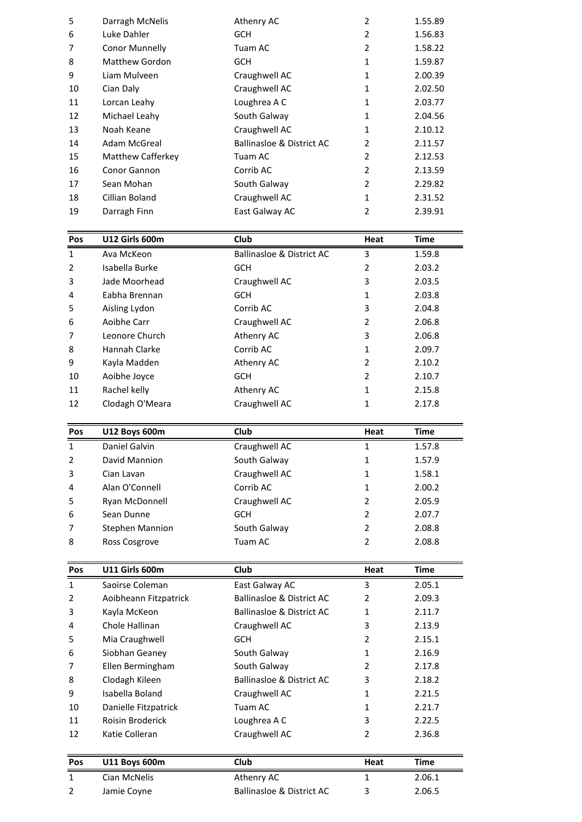| $\mathbf{1}$ | Ava McKeon            | Ballinasloe & District AC            | 3              | 1.59.8      |
|--------------|-----------------------|--------------------------------------|----------------|-------------|
| Pos          | U12 Girls 600m        | <b>Club</b>                          | Heat           | <b>Time</b> |
|              |                       |                                      |                |             |
| 19           | Darragh Finn          | East Galway AC                       | $\overline{2}$ | 2.39.91     |
| 18           | Cillian Boland        | Craughwell AC                        | $\mathbf{1}$   | 2.31.52     |
| 17           | Sean Mohan            | South Galway                         | $\overline{2}$ | 2.29.82     |
| 16           | Conor Gannon          | Corrib AC                            | 2              | 2.13.59     |
| 15           | Matthew Cafferkey     | Tuam AC                              | $\overline{2}$ | 2.12.53     |
| 14           | Adam McGreal          | <b>Ballinasloe &amp; District AC</b> | $\overline{2}$ | 2.11.57     |
| 13           | Noah Keane            | Craughwell AC                        | $\mathbf{1}$   | 2.10.12     |
| 12           | Michael Leahy         | South Galway                         | $\mathbf{1}$   | 2.04.56     |
| 11           | Lorcan Leahy          | Loughrea A C                         | $\mathbf{1}$   | 2.03.77     |
| 10           | Cian Daly             | Craughwell AC                        | $\mathbf{1}$   | 2.02.50     |
| 9            | Liam Mulveen          | Craughwell AC                        | $\mathbf{1}$   | 2.00.39     |
| 8            | <b>Matthew Gordon</b> | <b>GCH</b>                           | $\mathbf{1}$   | 1.59.87     |
| 7            | <b>Conor Munnelly</b> | Tuam AC                              | $\overline{2}$ | 1.58.22     |
| 6            | Luke Dahler           | <b>GCH</b>                           | $\overline{2}$ | 1.56.83     |
| 5            | Darragh McNelis       | Athenry AC                           | $\overline{2}$ | 1.55.89     |

| 18             | Cillian Boland        | Craughwell AC             | 1    | 2.31.52 |
|----------------|-----------------------|---------------------------|------|---------|
| 19             | Darragh Finn          | East Galway AC            | 2    | 2.39.91 |
|                |                       |                           |      |         |
| Pos            | <b>U12 Girls 600m</b> | <b>Club</b>               | Heat | Time    |
| 1              | Ava McKeon            | Ballinasloe & District AC | 3    | 1.59.8  |
| $\overline{2}$ | Isabella Burke        | <b>GCH</b>                | 2    | 2.03.2  |
| 3              | Jade Moorhead         | Craughwell AC             | 3    | 2.03.5  |
| 4              | Eabha Brennan         | <b>GCH</b>                | 1    | 2.03.8  |
| 5              | Aisling Lydon         | Corrib AC                 | 3    | 2.04.8  |
| 6              | Aoibhe Carr           | Craughwell AC             | 2    | 2.06.8  |
| 7              | Leonore Church        | Athenry AC                | 3    | 2.06.8  |
| 8              | Hannah Clarke         | Corrib AC                 | 1    | 2.09.7  |
| 9              | Kayla Madden          | Athenry AC                | 2    | 2.10.2  |
| 10             | Aoibhe Joyce          | <b>GCH</b>                | 2    | 2.10.7  |
| 11             | Rachel kelly          | Athenry AC                | 1    | 2.15.8  |
| 12             | Clodagh O'Meara       | Craughwell AC             | 1    | 2.17.8  |
|                |                       |                           |      |         |
| Pos            | <b>U12 Boys 600m</b>  | Club                      | Heat | Time    |
|                | Daniel Galvin         | Craughwell AC             |      | 1.57.8  |

| 11           | Rachel kelly           | Athenry AC     | 1    | 2.15.8      |
|--------------|------------------------|----------------|------|-------------|
| 12           | Clodagh O'Meara        | Craughwell AC  | 1    | 2.17.8      |
|              |                        |                |      |             |
| Pos          | <b>U12 Boys 600m</b>   | <b>Club</b>    | Heat | <b>Time</b> |
| $\mathbf{1}$ | Daniel Galvin          | Craughwell AC  | 1    | 1.57.8      |
| 2            | David Mannion          | South Galway   |      | 1.57.9      |
| 3            | Cian Lavan             | Craughwell AC  | 1    | 1.58.1      |
| 4            | Alan O'Connell         | Corrib AC      |      | 2.00.2      |
| 5            | Ryan McDonnell         | Craughwell AC  | 2    | 2.05.9      |
| 6            | Sean Dunne             | GCH            | 2    | 2.07.7      |
| 7            | <b>Stephen Mannion</b> | South Galway   | 2    | 2.08.8      |
| 8            | Ross Cosgrove          | Tuam AC        | 2    | 2.08.8      |
|              |                        |                |      |             |
| Pos          | <b>U11 Girls 600m</b>  | Club           | Heat | Time        |
| 1            | Saoirse Coleman        | East Galway AC | 3    | 2.05.1      |

| 7   | Stephen Mannion       | South Galway                         | 2              | 2.08.8 |
|-----|-----------------------|--------------------------------------|----------------|--------|
| 8   | Ross Cosgrove         | Tuam AC                              | 2              | 2.08.8 |
|     |                       |                                      |                |        |
| Pos | <b>U11 Girls 600m</b> | Club                                 | Heat           | Time   |
| 1   | Saoirse Coleman       | East Galway AC                       | 3              | 2.05.1 |
| 2   | Aoibheann Fitzpatrick | <b>Ballinasloe &amp; District AC</b> | 2              | 2.09.3 |
| 3   | Kayla McKeon          | Ballinasloe & District AC            | 1              | 2.11.7 |
| 4   | Chole Hallinan        | Craughwell AC                        | 3              | 2.13.9 |
| 5   | Mia Craughwell        | <b>GCH</b>                           | 2              | 2.15.1 |
| 6   | Siobhan Geaney        | South Galway                         | 1              | 2.16.9 |
| 7   | Ellen Bermingham      | South Galway                         | $\mathfrak{p}$ | 2.17.8 |
| 8   | Clodagh Kileen        | Ballinasloe & District AC            | 3              | 2.18.2 |
| 9   | Isabella Boland       | Craughwell AC                        | 1              | 2.21.5 |
| 10  | Danielle Fitzpatrick  | Tuam AC                              | 1              | 2.21.7 |
| 11  | Roisin Broderick      | Loughrea A C                         | 3              | 2.22.5 |
| 12  | Katie Colleran        | Craughwell AC                        | 2              | 2.36.8 |
|     |                       |                                      |                |        |
| Pos | <b>U11 Boys 600m</b>  | Club                                 | Heat           | Time   |
| 1   | Cian McNelis          | Athenry AC                           | 1              | 2.06.1 |
| 2   | Jamie Coyne           | <b>Ballinasloe &amp; District AC</b> | 3              | 2.06.5 |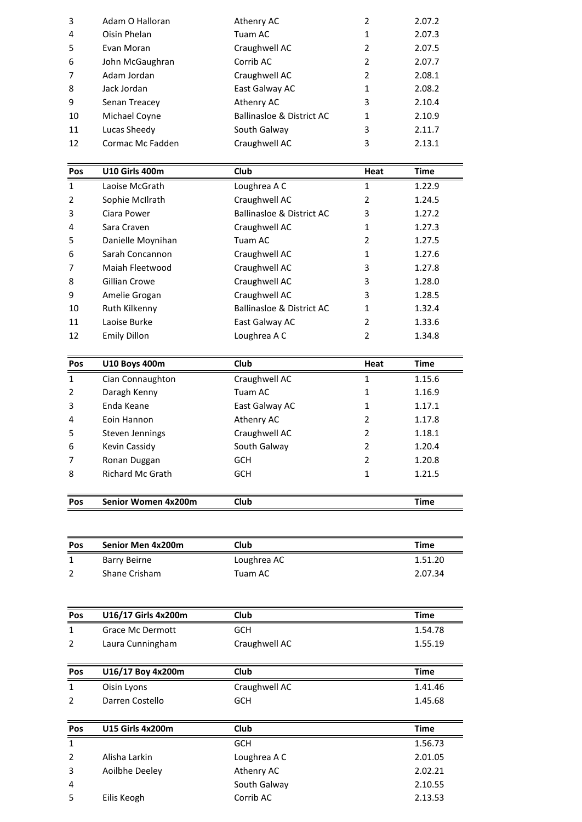|     |                       | Loughrea A C                         |               | 1.22.9 |
|-----|-----------------------|--------------------------------------|---------------|--------|
| Pos | <b>U10 Girls 400m</b> | Club                                 | Heat          | Time   |
|     |                       |                                      |               |        |
| 12  | Cormac Mc Fadden      | Craughwell AC                        | 3             | 2.13.1 |
| 11  | Lucas Sheedy          | South Galway                         | 3             | 2.11.7 |
| 10  | Michael Coyne         | <b>Ballinasloe &amp; District AC</b> | 1             | 2.10.9 |
| 9   | Senan Treacey         | Athenry AC                           | 3             | 2.10.4 |
| 8   | Jack Jordan           | East Galway AC                       | 1             | 2.08.2 |
| 7   | Adam Jordan           | Craughwell AC                        | 2             | 2.08.1 |
| 6   | John McGaughran       | Corrib AC                            | 2             | 2.07.7 |
| 5   | Evan Moran            | Craughwell AC                        | 2             | 2.07.5 |
| 4   | Oisin Phelan          | Tuam AC                              | 1             | 2.07.3 |
| 3   | Adam O Halloran       | Athenry AC                           | $\mathcal{P}$ | 2.07.2 |

| 11           | Lucas Sheedy          | South Galway                         | 3    | 2.11.7 |
|--------------|-----------------------|--------------------------------------|------|--------|
| 12           | Cormac Mc Fadden      | Craughwell AC                        | 3    | 2.13.1 |
|              |                       |                                      |      |        |
| Pos          | <b>U10 Girls 400m</b> | Club                                 | Heat | Time   |
| $\mathbf{1}$ | Laoise McGrath        | Loughrea A C                         | 1    | 1.22.9 |
| 2            | Sophie McIlrath       | Craughwell AC                        | 2    | 1.24.5 |
| 3            | Ciara Power           | <b>Ballinasloe &amp; District AC</b> | 3    | 1.27.2 |
| 4            | Sara Craven           | Craughwell AC                        | 1    | 1.27.3 |
| 5            | Danielle Moynihan     | Tuam AC                              | 2    | 1.27.5 |
| 6            | Sarah Concannon       | Craughwell AC                        | 1    | 1.27.6 |
| 7            | Maiah Fleetwood       | Craughwell AC                        | 3    | 1.27.8 |
| 8            | Gillian Crowe         | Craughwell AC                        | 3    | 1.28.0 |
| 9            | Amelie Grogan         | Craughwell AC                        | 3    | 1.28.5 |
| 10           | Ruth Kilkenny         | <b>Ballinasloe &amp; District AC</b> | 1    | 1.32.4 |
| 11           | Laoise Burke          | East Galway AC                       | 2    | 1.33.6 |
| 12           | <b>Emily Dillon</b>   | Loughrea A C                         | 2    | 1.34.8 |
| Pos          | <b>U10 Boys 400m</b>  | Club                                 | Heat | Time   |
|              | Cian Connaughton      | Craughwell AC                        |      | 1.15.6 |

| 11           | Laoise Burke            | East Galway AC | 2    | 1.33.6      |
|--------------|-------------------------|----------------|------|-------------|
| 12           | Emily Dillon            | Loughrea A C   | 2    | 1.34.8      |
| Pos          | <b>U10 Boys 400m</b>    | <b>Club</b>    | Heat | <b>Time</b> |
| $\mathbf{1}$ | Cian Connaughton        | Craughwell AC  | 1    | 1.15.6      |
| 2            | Daragh Kenny            | Tuam AC        | 1    | 1.16.9      |
| 3            | Enda Keane              | East Galway AC | 1    | 1.17.1      |
| 4            | Eoin Hannon             | Athenry AC     | 2    | 1.17.8      |
| 5            | Steven Jennings         | Craughwell AC  | 2    | 1.18.1      |
| 6            | Kevin Cassidy           | South Galway   | 2    | 1.20.4      |
| 7            | Ronan Duggan            | <b>GCH</b>     | 2    | 1.20.8      |
| 8            | <b>Richard Mc Grath</b> | GCH            | 1    | 1.21.5      |
| <b>Pos</b>   | Senior Women 4x200m     | <b>Club</b>    |      | Time        |

| 8   | <b>Richard Mc Grath</b> | <b>GCH</b>  | 1.21.5      |
|-----|-------------------------|-------------|-------------|
| Pos | Senior Women 4x200m     | <b>Club</b> | <b>Time</b> |
| Pos | Senior Men 4x200m       | Club        | Time        |

| Pos            | Senior Women 4x200m      | <b>Club</b>   | <b>Time</b> |
|----------------|--------------------------|---------------|-------------|
|                |                          |               |             |
| Pos            | <b>Senior Men 4x200m</b> | Club          | <b>Time</b> |
| $\mathbf{1}$   | <b>Barry Beirne</b>      | Loughrea AC   | 1.51.20     |
| $\overline{2}$ | Shane Crisham            | Tuam AC       | 2.07.34     |
|                |                          |               |             |
| Pos            | U16/17 Girls 4x200m      | Club          | <b>Time</b> |
| $\mathbf{1}$   | <b>Grace Mc Dermott</b>  | <b>GCH</b>    | 1.54.78     |
| $\overline{2}$ | Laura Cunningham         | Craughwell AC | 1.55.19     |
|                |                          |               |             |
| Pos            | U16/17 Boy 4x200m        | Club          | <b>Time</b> |
| $\mathbf{1}$   | Oisin Lyons              | Craughwell AC | 1.41.46     |
| $\overline{2}$ | Darren Costello          | <b>GCH</b>    | 1.45.68     |
|                |                          |               |             |
| Pos            | <b>U15 Girls 4x200m</b>  | Club          | <b>Time</b> |
| $\mathbf{1}$   |                          | <b>GCH</b>    | 1.56.73     |
| $\overline{2}$ | Alisha Larkin            | Loughrea A C  | 2.01.05     |
| 3              | Aoilbhe Deeley           | Athenry AC    | 2.02.21     |
| 4              |                          | South Galway  | 2.10.55     |
| 5              | Eilis Keogh              | Corrib AC     | 2.13.53     |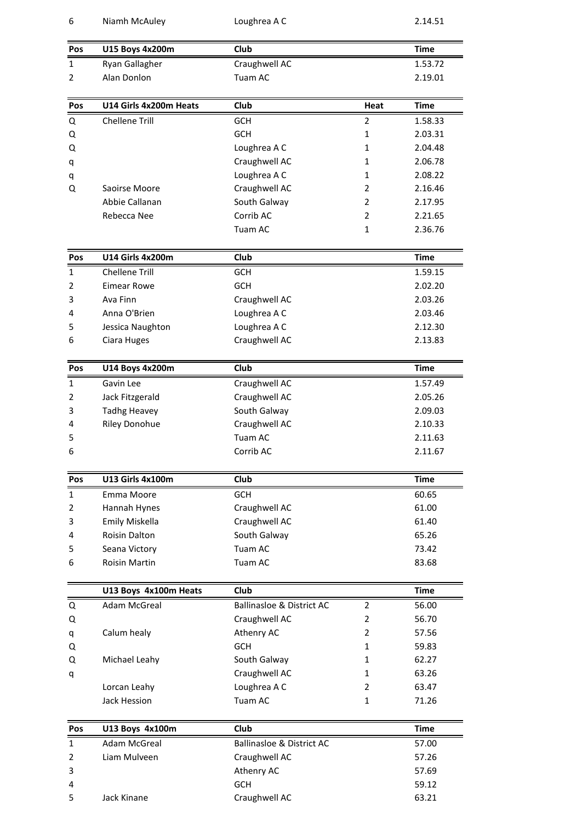| 6            | Niamh McAuley           | Loughrea A C                         |                | 2.14.51     |
|--------------|-------------------------|--------------------------------------|----------------|-------------|
| Pos          | U15 Boys 4x200m         | Club                                 |                | Time        |
| $\mathbf{1}$ | Ryan Gallagher          | Craughwell AC                        |                | 1.53.72     |
| 2            | Alan Donlon             | Tuam AC                              |                | 2.19.01     |
| Pos          | U14 Girls 4x200m Heats  | Club                                 | Heat           | Time        |
| Q            | <b>Chellene Trill</b>   | <b>GCH</b>                           | 2              | 1.58.33     |
| Q            |                         | <b>GCH</b>                           | $\mathbf{1}$   | 2.03.31     |
| Q            |                         | Loughrea A C                         | 1              | 2.04.48     |
| q            |                         | Craughwell AC                        | 1              | 2.06.78     |
| q            |                         | Loughrea A C                         | $\mathbf{1}$   | 2.08.22     |
| Q            | Saoirse Moore           | Craughwell AC                        | 2              | 2.16.46     |
|              | Abbie Callanan          | South Galway                         | 2              | 2.17.95     |
|              | Rebecca Nee             | Corrib AC                            | 2              | 2.21.65     |
|              |                         | Tuam AC                              | 1              | 2.36.76     |
| Pos          | <b>U14 Girls 4x200m</b> | Club                                 |                | <b>Time</b> |
| $\mathbf{1}$ | <b>Chellene Trill</b>   | <b>GCH</b>                           |                | 1.59.15     |
| 2            | <b>Eimear Rowe</b>      | <b>GCH</b>                           |                | 2.02.20     |
| 3            | Ava Finn                | Craughwell AC                        |                | 2.03.26     |
| 4            | Anna O'Brien            | Loughrea A C                         |                | 2.03.46     |
| 5            | Jessica Naughton        | Loughrea A C                         |                | 2.12.30     |
| 6            | Ciara Huges             | Craughwell AC                        |                | 2.13.83     |
| Pos          | <b>U14 Boys 4x200m</b>  | Club                                 |                | Time        |
| 1            | Gavin Lee               | Craughwell AC                        |                | 1.57.49     |
| 2            | Jack Fitzgerald         | Craughwell AC                        |                | 2.05.26     |
| 3            | <b>Tadhg Heavey</b>     | South Galway                         |                | 2.09.03     |
| 4            | <b>Riley Donohue</b>    | Craughwell AC                        |                | 2.10.33     |
| 5            |                         | Tuam AC                              |                | 2.11.63     |
| 6            |                         | Corrib AC                            |                | 2.11.67     |
| Pos          | <b>U13 Girls 4x100m</b> | Club                                 |                | <b>Time</b> |
| $\mathbf{1}$ | Emma Moore              | <b>GCH</b>                           |                | 60.65       |
| 2            | Hannah Hynes            | Craughwell AC                        |                | 61.00       |
| 3            | Emily Miskella          | Craughwell AC                        |                | 61.40       |
| 4            | Roisin Dalton           | South Galway                         |                | 65.26       |
| 5            | Seana Victory           | Tuam AC                              |                | 73.42       |
| 6            | Roisin Martin           | Tuam AC                              |                | 83.68       |
|              | U13 Boys 4x100m Heats   | Club                                 |                | <b>Time</b> |
| Q            | <b>Adam McGreal</b>     | <b>Ballinasloe &amp; District AC</b> | 2              | 56.00       |
| Q            |                         | Craughwell AC                        | 2              | 56.70       |
| q            | Calum healy             | Athenry AC                           | $\overline{2}$ | 57.56       |
| Q            |                         | <b>GCH</b>                           | 1              | 59.83       |
| Q            | Michael Leahy           | South Galway                         | 1              | 62.27       |
| q            |                         | Craughwell AC                        | $\mathbf{1}$   | 63.26       |
|              | Lorcan Leahy            | Loughrea A C                         | 2              | 63.47       |
|              | Jack Hession            | Tuam AC                              | $\mathbf{1}$   | 71.26       |
| Pos          | U13 Boys 4x100m         | Club                                 |                | <b>Time</b> |
| $\mathbf{1}$ | Adam McGreal            | <b>Ballinasloe &amp; District AC</b> |                | 57.00       |
| 2            | Liam Mulveen            | Craughwell AC                        |                | 57.26       |
| 3            |                         | Athenry AC                           |                | 57.69       |
| 4            |                         | GCH                                  |                | 59.12       |
| 5            | Jack Kinane             | Craughwell AC                        |                | 63.21       |
|              |                         |                                      |                |             |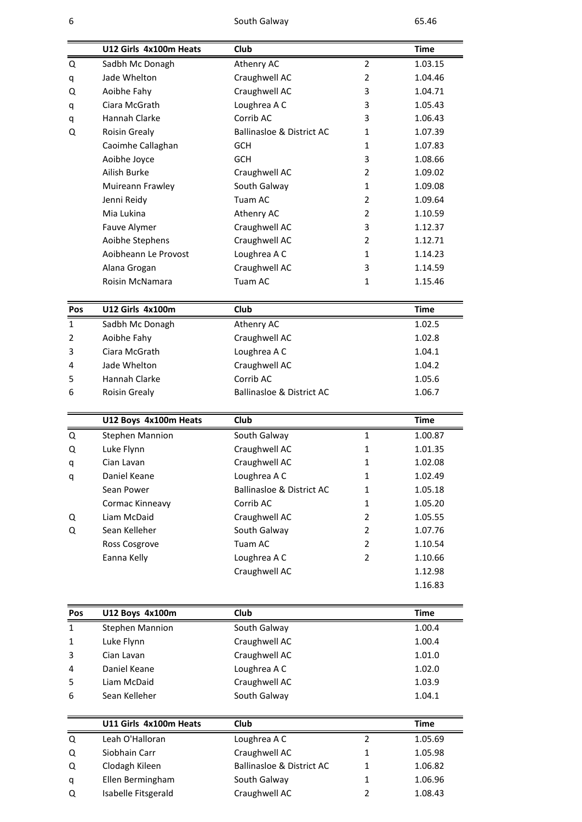South Galway 65.46

| 6            |                        | South Galway                         |                | 65.46              |
|--------------|------------------------|--------------------------------------|----------------|--------------------|
|              |                        |                                      |                |                    |
|              | U12 Girls 4x100m Heats | Club                                 |                | <b>Time</b>        |
| Q            | Sadbh Mc Donagh        | Athenry AC                           | 2              | 1.03.15            |
| q            | Jade Whelton           | Craughwell AC                        | 2              | 1.04.46            |
| Q            | Aoibhe Fahy            | Craughwell AC                        | 3              | 1.04.71            |
| q            | Ciara McGrath          | Loughrea A C                         | 3              | 1.05.43            |
| q            | Hannah Clarke          | Corrib AC                            | 3              | 1.06.43            |
| Q            | <b>Roisin Grealy</b>   | <b>Ballinasloe &amp; District AC</b> | 1              | 1.07.39            |
|              | Caoimhe Callaghan      | <b>GCH</b>                           | 1              | 1.07.83            |
|              | Aoibhe Joyce           | <b>GCH</b>                           | 3              | 1.08.66            |
|              | Ailish Burke           | Craughwell AC                        | 2              | 1.09.02            |
|              | Muireann Frawley       | South Galway                         | 1              | 1.09.08            |
|              | Jenni Reidy            | Tuam AC                              | 2              | 1.09.64            |
|              | Mia Lukina             | Athenry AC                           | 2              | 1.10.59            |
|              | Fauve Alymer           | Craughwell AC                        | 3              | 1.12.37            |
|              | Aoibhe Stephens        | Craughwell AC                        | 2              | 1.12.71            |
|              | Aoibheann Le Provost   | Loughrea A C                         | 1              | 1.14.23            |
|              | Alana Grogan           | Craughwell AC                        | 3              | 1.14.59            |
|              | <b>Roisin McNamara</b> | Tuam AC                              | 1              | 1.15.46            |
|              |                        |                                      |                |                    |
| <b>Pos</b>   | U12 Girls 4x100m       | Club                                 |                | <b>Time</b>        |
| $\mathbf{1}$ | Sadbh Mc Donagh        | Athenry AC                           |                | 1.02.5             |
| 2            | Aoibhe Fahy            | Craughwell AC                        |                | 1.02.8             |
| 3            | Ciara McGrath          | Loughrea A C                         |                | 1.04.1             |
| 4            | Jade Whelton           | Craughwell AC                        |                | 1.04.2             |
| 5            | Hannah Clarke          | Corrib AC                            |                | 1.05.6             |
|              | <b>Roisin Grealy</b>   | <b>Ballinasloe &amp; District AC</b> |                | 1.06.7             |
|              |                        |                                      |                |                    |
|              | U12 Boys 4x100m Heats  | Club                                 |                | <b>Time</b>        |
| Q            | <b>Stephen Mannion</b> | South Galway                         | $\mathbf{1}$   | 1.00.87            |
| Q            | Luke Flynn             | Craughwell AC                        | 1              | 1.01.35            |
| q            | Cian Lavan             | Craughwell AC                        | 1              | 1.02.08            |
|              | Daniel Keane           | Loughrea A C                         | 1              | 1.02.49            |
|              | Sean Power             | <b>Ballinasloe &amp; District AC</b> | 1              | 1.05.18            |
|              | Cormac Kinneavy        | Corrib AC                            | 1              | 1.05.20            |
| Q            | Liam McDaid            | Craughwell AC                        | 2              | 1.05.55            |
| Q            | Sean Kelleher          | South Galway                         | 2              | 1.07.76            |
|              | Ross Cosgrove          | Tuam AC                              | $\overline{2}$ | 1.10.54            |
|              | Eanna Kelly            | Loughrea A C                         | 2              | 1.10.66            |
|              |                        |                                      |                |                    |
|              |                        | Craughwell AC                        |                | 1.12.98            |
|              |                        |                                      |                | 1.16.83            |
| Pos          | U12 Boys 4x100m        | Club                                 |                | <b>Time</b>        |
| $\mathbf{1}$ | <b>Stephen Mannion</b> | South Galway                         |                | 1.00.4             |
| $\mathbf{1}$ | Luke Flynn             | Craughwell AC                        |                | 1.00.4             |
|              | Cian Lavan             | Craughwell AC                        |                | 1.01.0             |
|              | Daniel Keane           | Loughrea A C                         |                | 1.02.0             |
| 4            | Liam McDaid            | Craughwell AC                        |                | 1.03.9             |
| 5<br>6       | Sean Kelleher          | South Galway                         |                | 1.04.1             |
|              |                        |                                      |                |                    |
|              | U11 Girls 4x100m Heats | Club                                 |                | <b>Time</b>        |
| Q            | Leah O'Halloran        | Loughrea A C                         | 2              | 1.05.69            |
| Q            | Siobhain Carr          | Craughwell AC                        | 1              | 1.05.98            |
|              |                        |                                      |                |                    |
| Q            | Clodagh Kileen         | <b>Ballinasloe &amp; District AC</b> | 1              |                    |
| q            | Ellen Bermingham       | South Galway                         | 1              | 1.06.82<br>1.06.96 |
| Q            | Isabelle Fitsgerald    | Craughwell AC                        | $\overline{2}$ | 1.08.43            |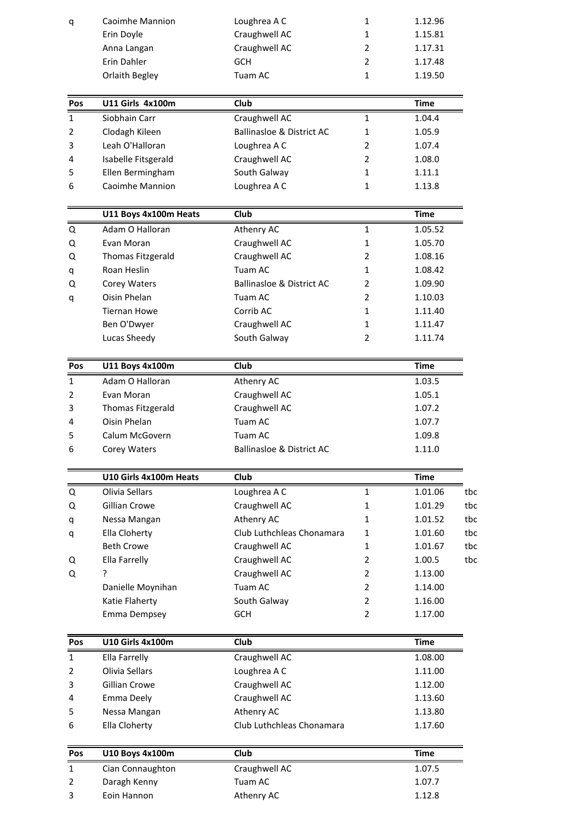| q                   | Caoimhe Mannion                 | Loughrea A C                            | 1              | 1.12.96            |     |
|---------------------|---------------------------------|-----------------------------------------|----------------|--------------------|-----|
|                     | Erin Doyle                      | Craughwell AC                           | 1              | 1.15.81            |     |
|                     | Anna Langan                     | Craughwell AC                           | 2              | 1.17.31            |     |
|                     | Erin Dahler                     | <b>GCH</b>                              | $\overline{2}$ | 1.17.48            |     |
|                     | Orlaith Begley                  | Tuam AC                                 | 1              | 1.19.50            |     |
| Pos                 | <b>U11 Girls 4x100m</b>         | Club                                    |                | <b>Time</b>        |     |
| 1                   | Siobhain Carr                   | Craughwell AC                           | $\mathbf{1}$   | 1.04.4             |     |
| 2                   | Clodagh Kileen                  | <b>Ballinasloe &amp; District AC</b>    | 1              | 1.05.9             |     |
| 3                   | Leah O'Halloran                 | Loughrea A C                            | 2              | 1.07.4             |     |
| 4                   | Isabelle Fitsgerald             | Craughwell AC                           | 2              | 1.08.0             |     |
| 5                   | Ellen Bermingham                | South Galway                            | 1              | 1.11.1             |     |
| 6                   | Caoimhe Mannion                 | Loughrea A C                            | 1              | 1.13.8             |     |
|                     | U11 Boys 4x100m Heats           | Club                                    |                | <b>Time</b>        |     |
| Q                   | Adam O Halloran                 | Athenry AC                              | 1              | 1.05.52            |     |
| Q                   | Evan Moran                      | Craughwell AC                           | 1              | 1.05.70            |     |
| Q                   | Thomas Fitzgerald               | Craughwell AC                           | 2              | 1.08.16            |     |
| q                   | Roan Heslin                     | Tuam AC                                 | 1              | 1.08.42            |     |
| Q                   | Corey Waters                    | <b>Ballinasloe &amp; District AC</b>    | 2              | 1.09.90            |     |
| q                   | Oisin Phelan                    | Tuam AC                                 | $\overline{2}$ | 1.10.03            |     |
|                     | <b>Tiernan Howe</b>             | Corrib AC                               | 1              | 1.11.40            |     |
|                     | Ben O'Dwyer                     | Craughwell AC                           | 1              | 1.11.47            |     |
|                     | Lucas Sheedy                    | South Galway                            | $\overline{2}$ | 1.11.74            |     |
| Pos                 | U11 Boys 4x100m                 | Club                                    |                | <b>Time</b>        |     |
| Ŧ                   | Adam O Halloran                 | Athenry AC                              |                | 1.03.5             |     |
| 2                   | Evan Moran                      | Craughwell AC                           |                | 1.05.1             |     |
| 3                   | Thomas Fitzgerald               | Craughwell AC                           |                | 1.07.2             |     |
| 4                   | Oisin Phelan                    | Tuam AC                                 |                | 1.07.7             |     |
| 5                   | Calum McGovern                  | Tuam AC                                 |                | 1.09.8             |     |
| 6                   | Corey Waters                    | <b>Ballinasloe &amp; District AC</b>    |                | 1.11.0             |     |
|                     | U10 Girls 4x100m Heats          | Club                                    |                | <b>Time</b>        |     |
| Q                   | Olivia Sellars                  | Loughrea A C                            | $\mathbf{1}$   | 1.01.06            | tbc |
|                     | Gillian Crowe                   | Craughwell AC                           | 1              | 1.01.29            | tbc |
| Q                   |                                 | Athenry AC                              | 1              | 1.01.52            | tbc |
| q                   | Nessa Mangan<br>Ella Cloherty   | Club Luthchleas Chonamara               | $\mathbf{1}$   |                    | tbc |
| q                   | <b>Beth Crowe</b>               |                                         | 1              | 1.01.60            | tbc |
|                     |                                 | Craughwell AC                           | $\overline{2}$ | 1.01.67<br>1.00.5  | tbc |
| Q                   | Ella Farrelly<br>ŗ              | Craughwell AC                           | $\overline{2}$ |                    |     |
| Q                   |                                 | Craughwell AC<br>Tuam AC                | 2              | 1.13.00<br>1.14.00 |     |
|                     | Danielle Moynihan               |                                         | 2              | 1.16.00            |     |
|                     | Katie Flaherty<br>Emma Dempsey  | South Galway<br>GCH                     | $\overline{2}$ | 1.17.00            |     |
|                     |                                 |                                         |                |                    |     |
| Pos                 | <b>U10 Girls 4x100m</b>         | Club                                    |                | <b>Time</b>        |     |
| $\mathbf{1}$        | Ella Farrelly<br>Olivia Sellars | Craughwell AC                           |                | 1.08.00            |     |
| 2                   |                                 | Loughrea A C                            |                | 1.11.00            |     |
| 3                   | Gillian Crowe                   | Craughwell AC                           |                | 1.12.00            |     |
| 4<br>5              | Emma Deely                      | Craughwell AC                           |                | 1.13.60            |     |
|                     | Nessa Mangan<br>Ella Cloherty   | Athenry AC<br>Club Luthchleas Chonamara |                | 1.13.80<br>1.17.60 |     |
| 6                   |                                 |                                         |                |                    |     |
|                     |                                 |                                         |                |                    |     |
| Pos                 | U10 Boys 4x100m                 | Club                                    |                | <b>Time</b>        |     |
| $\mathbf{1}$        | Cian Connaughton                | Craughwell AC                           |                | 1.07.5             |     |
| $\overline{2}$<br>3 | Daragh Kenny<br>Eoin Hannon     | Tuam AC<br>Athenry AC                   |                | 1.07.7<br>1.12.8   |     |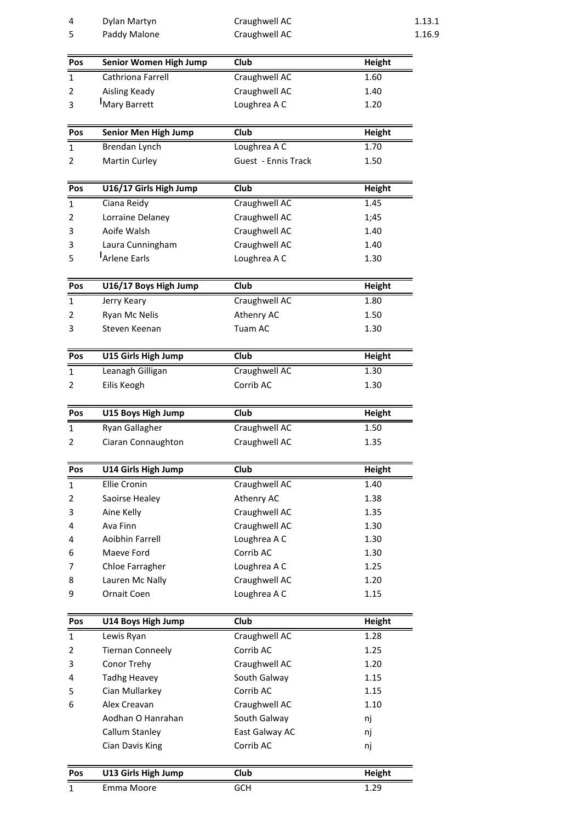| 4              | Dylan Martyn                      | Craughwell AC               |                       | 1.13.1 |
|----------------|-----------------------------------|-----------------------------|-----------------------|--------|
| 5              | Paddy Malone                      | Craughwell AC               |                       | 1.16.9 |
| Pos            | <b>Senior Women High Jump</b>     | Club                        | Height                |        |
| 1              | Cathriona Farrell                 | Craughwell AC               | 1.60                  |        |
| 2              | Aisling Keady                     | Craughwell AC               | 1.40                  |        |
| 3              | Mary Barrett                      | Loughrea A C                | 1.20                  |        |
| Pos            | <b>Senior Men High Jump</b>       | Club                        |                       |        |
|                | Brendan Lynch                     | Loughrea A C                | <b>Height</b><br>1.70 |        |
| 1<br>2         | Martin Curley                     | Guest - Ennis Track         | 1.50                  |        |
|                |                                   |                             |                       |        |
| Pos            | U16/17 Girls High Jump            | Club                        | <b>Height</b>         |        |
| $\mathbf{1}$   | Ciana Reidy                       | Craughwell AC               | 1.45                  |        |
| 2              | Lorraine Delaney                  | Craughwell AC               | 1;45                  |        |
| 3              | Aoife Walsh                       | Craughwell AC               | 1.40                  |        |
| 3              | Laura Cunningham                  | Craughwell AC               | 1.40                  |        |
| 5              | Arlene Earls                      | Loughrea A C                | 1.30                  |        |
| Pos            | U16/17 Boys High Jump             | Club                        | Height                |        |
| $\mathbf{1}$   | Jerry Keary                       | Craughwell AC               | 1.80                  |        |
| 2              | Ryan Mc Nelis                     | Athenry AC                  | 1.50                  |        |
| 3              | Steven Keenan                     | Tuam AC                     | 1.30                  |        |
| Pos            | U15 Girls High Jump               | <b>Club</b>                 | Height                |        |
| 1              | Leanagh Gilligan                  | Craughwell AC               | 1.30                  |        |
| 2              | Eilis Keogh                       | Corrib AC                   | 1.30                  |        |
| Pos            | U15 Boys High Jump                | Club                        | <b>Height</b>         |        |
| $\mathbf{1}$   | Ryan Gallagher                    | Craughwell AC               | 1.50                  |        |
| 2              | Ciaran Connaughton                | Craughwell AC               | 1.35                  |        |
|                |                                   |                             |                       |        |
| Pos            | U14 Girls High Jump               | <b>Club</b>                 | <b>Height</b>         |        |
| 1              | Ellie Cronin                      | Craughwell AC               | 1.40                  |        |
| 2              | Saoirse Healey                    | Athenry AC                  | 1.38                  |        |
| 3              | Aine Kelly                        | Craughwell AC               | 1.35                  |        |
| 4              | Ava Finn                          | Craughwell AC               | 1.30                  |        |
| 4              | Aoibhin Farrell                   | Loughrea A C                | 1.30                  |        |
| 6              | Maeve Ford                        | Corrib AC                   | 1.30                  |        |
| 7              | Chloe Farragher                   | Loughrea A C                | 1.25                  |        |
| 8              | Lauren Mc Nally                   | Craughwell AC               | 1.20                  |        |
| 9              | Ornait Coen                       | Loughrea A C                | 1.15                  |        |
| Pos            | U14 Boys High Jump                | <b>Club</b>                 | <b>Height</b>         |        |
| $\mathbf{1}$   | Lewis Ryan                        | Craughwell AC               | 1.28                  |        |
| $\overline{2}$ | <b>Tiernan Conneely</b>           | Corrib AC                   | 1.25                  |        |
| 3              | Conor Trehy                       | Craughwell AC               | 1.20                  |        |
| 4              | <b>Tadhg Heavey</b>               | South Galway                | 1.15                  |        |
| 5              | Cian Mullarkey                    | Corrib AC                   | 1.15                  |        |
| 6              | Alex Creavan                      | Craughwell AC               | 1.10                  |        |
|                | Aodhan O Hanrahan                 | South Galway                | nj                    |        |
|                | Callum Stanley<br>Cian Davis King | East Galway AC<br>Corrib AC | nj<br>nj              |        |
|                |                                   |                             |                       |        |
| <b>Pos</b>     | U13 Girls High Jump               | Club                        | Height                |        |
| 1              | Emma Moore                        | GCH                         | 1.29                  |        |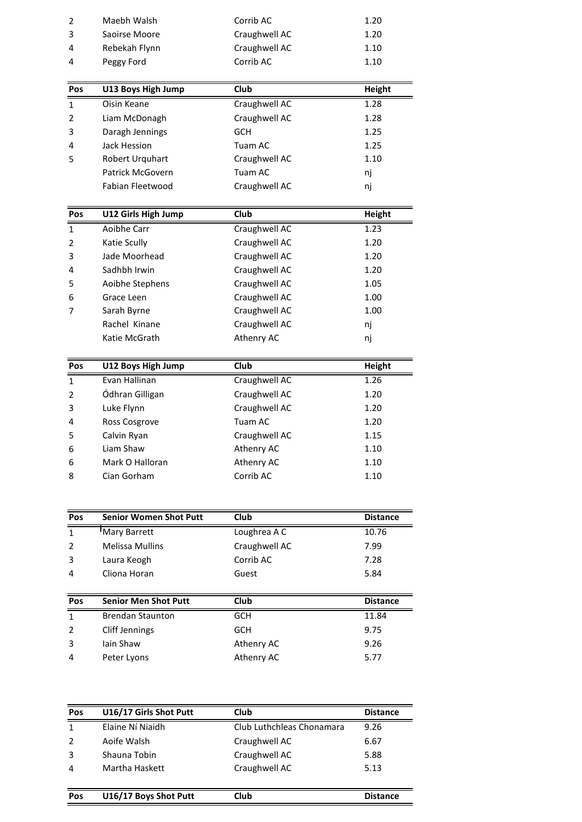| 2<br>3              | Maebh Walsh<br>Saoirse Moore      | Corrib AC<br>Craughwell AC | 1.20<br>1.20          |
|---------------------|-----------------------------------|----------------------------|-----------------------|
| 4                   | Rebekah Flynn                     | Craughwell AC              | 1.10                  |
| 4                   | Peggy Ford                        | Corrib AC                  | 1.10                  |
|                     |                                   |                            |                       |
| Pos<br>$\mathbf{1}$ | U13 Boys High Jump<br>Oisin Keane | Club<br>Craughwell AC      | <b>Height</b><br>1.28 |
| $\overline{2}$      | Liam McDonagh                     | Craughwell AC              | 1.28                  |
| 3                   | Daragh Jennings                   | <b>GCH</b>                 | 1.25                  |
|                     | Jack Hession                      | Tuam AC                    | 1.25                  |
| 4                   |                                   |                            |                       |
| 5                   | Robert Urquhart                   | Craughwell AC              | 1.10                  |
|                     | Patrick McGovern                  | Tuam AC                    | nj                    |
|                     | Fabian Fleetwood                  | Craughwell AC              | nj                    |
| Pos                 | <b>U12 Girls High Jump</b>        | Club                       | <b>Height</b>         |
| 1                   | Aoibhe Carr                       | Craughwell AC              | 1.23                  |
| 2                   | Katie Scully                      | Craughwell AC              | 1.20                  |
| 3                   | Jade Moorhead                     | Craughwell AC              | 1.20                  |
| 4                   | Sadhbh Irwin                      | Craughwell AC              | 1.20                  |
| 5                   | Aoibhe Stephens                   | Craughwell AC              | 1.05                  |
| 6                   | Grace Leen                        | Craughwell AC              | 1.00                  |
| 7                   | Sarah Byrne                       | Craughwell AC              | 1.00                  |
|                     | Rachel Kinane                     | Craughwell AC              | nj                    |
|                     | Katie McGrath                     | Athenry AC                 | nj                    |
| Pos                 | U12 Boys High Jump                | Club                       | <b>Height</b>         |
| 1                   | Evan Hallinan                     | Craughwell AC              | 1.26                  |
| $\overline{2}$      | Ódhran Gilligan                   | Craughwell AC              | 1.20                  |
| 3                   | Luke Flynn                        | Craughwell AC              | 1.20                  |
| 4                   | Ross Cosgrove                     | Tuam AC                    | 1.20                  |
| 5                   | Calvin Ryan                       | Craughwell AC              | 1.15                  |
| 6                   | Liam Shaw                         | Athenry AC                 | 1.10                  |
| 6                   | Mark O Halloran                   | Athenry AC                 | 1.10                  |
| 8                   | Cian Gorham                       | Corrib AC                  | 1.10                  |
|                     |                                   |                            |                       |
| Pos                 | <b>Senior Women Shot Putt</b>     | Club                       | <b>Distance</b>       |
| $\mathbf{1}$        | Mary Barrett                      | Loughrea A C               | 10.76                 |
| $\overline{2}$      | <b>Melissa Mullins</b>            | Craughwell AC              | 7.99                  |
| 3                   | Laura Keogh                       | Corrib AC                  | 7.28                  |
| 4                   | Cliona Horan                      | Guest                      | 5.84                  |
| Pos                 | <b>Senior Men Shot Putt</b>       | Club                       | <b>Distance</b>       |
| $\mathbf{1}$        | <b>Brendan Staunton</b>           | <b>GCH</b>                 | 11.84                 |
| $\overline{2}$      | <b>Cliff Jennings</b>             | <b>GCH</b>                 | 9.75                  |
| 3                   | Iain Shaw                         | Athenry AC                 | 9.26                  |
|                     |                                   |                            |                       |

| 4   | Peter Lyons            | Athenry AC                | 5.77            |
|-----|------------------------|---------------------------|-----------------|
| Pos | U16/17 Girls Shot Putt | Club                      | <b>Distance</b> |
| 1   | Elaine Ní Niaidh       | Club Luthchleas Chonamara | 9.26            |
| 2   | Aoife Walsh            | Craughwell AC             | 6.67            |
| 3   | Shauna Tobin           | Craughwell AC             | 5.88            |
| 4   | Martha Haskett         | Craughwell AC             | 5.13            |
| Pos | U16/17 Boys Shot Putt  | Club                      | <b>Distance</b> |

| U16/17 Boys Shot Putt | Club | <b>Distan</b> |
|-----------------------|------|---------------|
|                       |      |               |
|                       |      |               |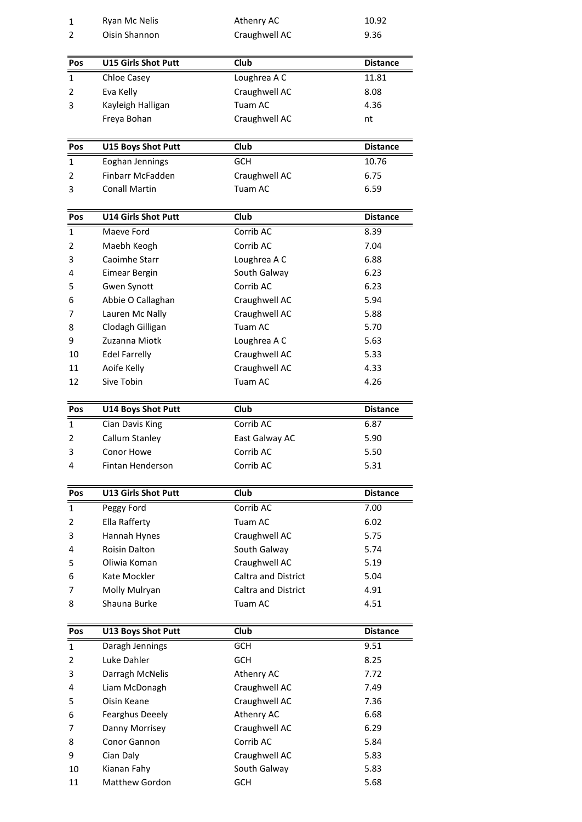| $\mathbf{1}$<br>2 | Ryan Mc Nelis<br>Oisin Shannon      | Athenry AC<br>Craughwell AC                       | 10.92<br>9.36   |  |
|-------------------|-------------------------------------|---------------------------------------------------|-----------------|--|
|                   |                                     |                                                   |                 |  |
| Pos               | <b>U15 Girls Shot Putt</b>          | Club                                              | <b>Distance</b> |  |
| 1                 | <b>Chloe Casey</b>                  | Loughrea A C                                      | 11.81           |  |
| 2                 | Eva Kelly                           | Craughwell AC                                     | 8.08            |  |
| 3                 | Kayleigh Halligan<br>Freya Bohan    | Tuam AC<br>Craughwell AC                          | 4.36<br>nt      |  |
|                   |                                     |                                                   |                 |  |
| <b>Pos</b>        | <b>U15 Boys Shot Putt</b>           | Club                                              | <b>Distance</b> |  |
| 1                 | Eoghan Jennings                     | <b>GCH</b>                                        | 10.76           |  |
| 2                 | Finbarr McFadden                    | Craughwell AC                                     | 6.75            |  |
| 3                 | <b>Conall Martin</b>                | Tuam AC                                           | 6.59            |  |
| Pos               | <b>U14 Girls Shot Putt</b>          | Club                                              | <b>Distance</b> |  |
| 1                 | Maeve Ford                          | Corrib AC                                         | 8.39            |  |
| $\overline{2}$    | Maebh Keogh                         | Corrib AC                                         | 7.04            |  |
| 3                 | Caoimhe Starr                       | Loughrea A C                                      | 6.88            |  |
| 4                 | Eimear Bergin                       | South Galway                                      | 6.23            |  |
| 5                 | Gwen Synott                         | Corrib AC                                         | 6.23            |  |
| 6<br>7            | Abbie O Callaghan                   | Craughwell AC<br>Craughwell AC                    | 5.94<br>5.88    |  |
| 8                 | Lauren Mc Nally<br>Clodagh Gilligan | Tuam AC                                           | 5.70            |  |
| 9                 | Zuzanna Miotk                       | Loughrea A C                                      | 5.63            |  |
| 10                | <b>Edel Farrelly</b>                | Craughwell AC                                     | 5.33            |  |
| 11                | Aoife Kelly                         | Craughwell AC                                     | 4.33            |  |
| 12                | Sive Tobin                          | Tuam AC                                           | 4.26            |  |
| Pos               | <b>U14 Boys Shot Putt</b>           | Club                                              | <b>Distance</b> |  |
| 1                 | Cian Davis King                     | Corrib AC                                         | 6.87            |  |
| 2                 | Callum Stanley                      | East Galway AC                                    | 5.90            |  |
| 3                 | Conor Howe                          | Corrib AC                                         | 5.50            |  |
| 4                 | Fintan Henderson                    | Corrib AC                                         | 5.31            |  |
| Pos               | <b>U13 Girls Shot Putt</b>          | <b>Club</b>                                       | <b>Distance</b> |  |
| 1                 | Peggy Ford                          | Corrib AC                                         | 7.00            |  |
| 2                 | Ella Rafferty                       | Tuam AC                                           | 6.02            |  |
| 3                 | Hannah Hynes                        | Craughwell AC                                     | 5.75            |  |
| 4                 | <b>Roisin Dalton</b>                | South Galway                                      | 5.74            |  |
| 5                 | Oliwia Koman                        | Craughwell AC                                     | 5.19            |  |
| 6<br>7            | Kate Mockler<br>Molly Mulryan       | Caltra and District<br><b>Caltra and District</b> | 5.04<br>4.91    |  |
| 8                 | Shauna Burke                        | Tuam AC                                           | 4.51            |  |
|                   |                                     |                                                   |                 |  |
| Pos               | <b>U13 Boys Shot Putt</b>           | Club                                              | <b>Distance</b> |  |
| $\mathbf{1}$      | Daragh Jennings<br>Luke Dahler      | <b>GCH</b><br><b>GCH</b>                          | 9.51<br>8.25    |  |
| 2                 |                                     | Athenry AC                                        | 7.72            |  |
|                   |                                     |                                                   |                 |  |
| 3<br>4            | Darragh McNelis                     |                                                   | 7.49            |  |
| 5                 | Liam McDonagh<br>Oisin Keane        | Craughwell AC<br>Craughwell AC                    | 7.36            |  |
| 6                 | <b>Fearghus Deeely</b>              | Athenry AC                                        | 6.68            |  |
| 7                 | Danny Morrisey                      | Craughwell AC                                     | 6.29            |  |
| 8                 | Conor Gannon                        | Corrib AC                                         | 5.84            |  |
| 9                 | Cian Daly                           | Craughwell AC                                     | 5.83            |  |
| 10<br>11          | Kianan Fahy<br>Matthew Gordon       | South Galway<br><b>GCH</b>                        | 5.83<br>5.68    |  |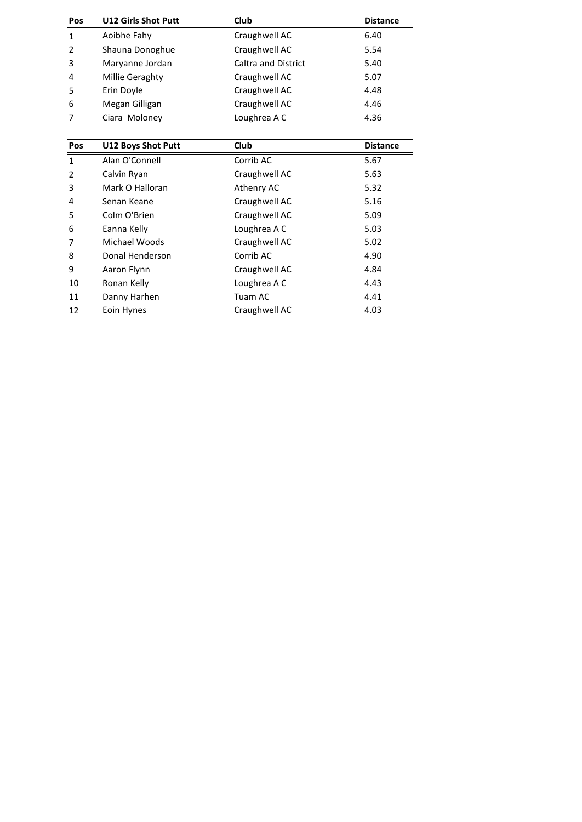| Pos | <b>U12 Girls Shot Putt</b> | <b>Club</b>                | <b>Distance</b> |
|-----|----------------------------|----------------------------|-----------------|
| 1   | Aoibhe Fahy                | Craughwell AC              | 6.40            |
| 2   | Shauna Donoghue            | Craughwell AC              | 5.54            |
| 3   | Maryanne Jordan            | <b>Caltra and District</b> | 5.40            |
| 4   | Millie Geraghty            | Craughwell AC              | 5.07            |
| 5   | Erin Doyle                 | Craughwell AC              | 4.48            |
| 6   | Megan Gilligan             | Craughwell AC              | 4.46            |
| 7   | Ciara Moloney              | Loughrea A C               | 4.36            |
|     |                            |                            |                 |
| Pos | <b>U12 Boys Shot Putt</b>  | Club                       | <b>Distance</b> |
|     | Alan O'Connell             | Corrib AC                  | 5.67            |

| 6<br>Megan Gilligan              |                 | Craughwell AC | 4.46            |  |
|----------------------------------|-----------------|---------------|-----------------|--|
| 7                                | Ciara Moloney   | Loughrea A C  | 4.36            |  |
|                                  |                 |               |                 |  |
| Pos<br><b>U12 Boys Shot Putt</b> |                 | <b>Club</b>   | <b>Distance</b> |  |
| 1                                | Alan O'Connell  | Corrib AC     | 5.67            |  |
| $\overline{2}$                   | Calvin Ryan     | Craughwell AC | 5.63            |  |
| 3                                | Mark O Halloran | Athenry AC    | 5.32            |  |
| 4                                | Senan Keane     | Craughwell AC | 5.16            |  |
| 5                                | Colm O'Brien    | Craughwell AC | 5.09            |  |
| 6                                | Eanna Kelly     | Loughrea A C  | 5.03            |  |
| 7                                | Michael Woods   | Craughwell AC | 5.02            |  |
| 8                                | Donal Henderson | Corrib AC     | 4.90            |  |
| 9                                | Aaron Flynn     | Craughwell AC | 4.84            |  |
| 10                               | Ronan Kelly     | Loughrea A C  | 4.43            |  |
| 11                               | Danny Harhen    | Tuam AC       | 4.41            |  |
| 12                               | Eoin Hynes      | Craughwell AC | 4.03            |  |